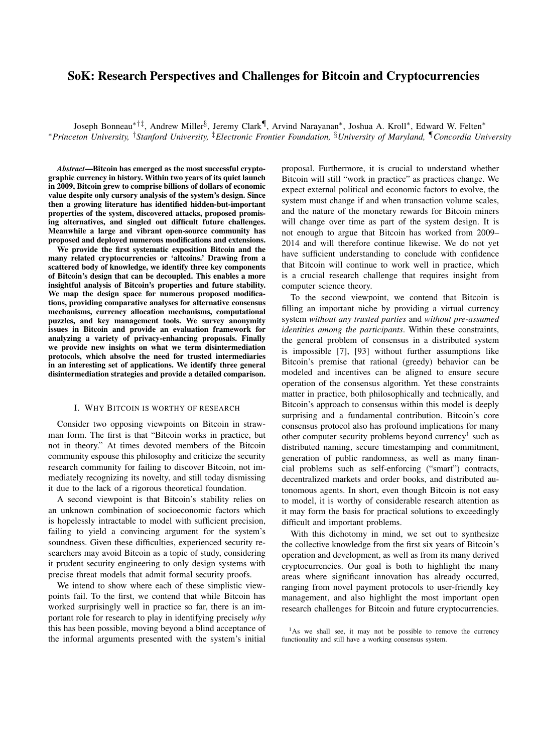# SoK: Research Perspectives and Challenges for Bitcoin and Cryptocurrencies

Joseph Bonneau∗†‡, Andrew Miller§ , Jeremy Clark¶, Arvind Narayanan<sup>∗</sup> , Joshua A. Kroll<sup>∗</sup> , Edward W. Felten<sup>∗</sup> <sup>∗</sup>*Princeton University,* †*Stanford University,* ‡*Electronic Frontier Foundation,* §*University of Maryland,* ¶*Concordia University*

*Abstract*—Bitcoin has emerged as the most successful cryptographic currency in history. Within two years of its quiet launch in 2009, Bitcoin grew to comprise billions of dollars of economic value despite only cursory analysis of the system's design. Since then a growing literature has identified hidden-but-important properties of the system, discovered attacks, proposed promising alternatives, and singled out difficult future challenges. Meanwhile a large and vibrant open-source community has proposed and deployed numerous modifications and extensions.

We provide the first systematic exposition Bitcoin and the many related cryptocurrencies or 'altcoins.' Drawing from a scattered body of knowledge, we identify three key components of Bitcoin's design that can be decoupled. This enables a more insightful analysis of Bitcoin's properties and future stability. We map the design space for numerous proposed modifications, providing comparative analyses for alternative consensus mechanisms, currency allocation mechanisms, computational puzzles, and key management tools. We survey anonymity issues in Bitcoin and provide an evaluation framework for analyzing a variety of privacy-enhancing proposals. Finally we provide new insights on what we term disintermediation protocols, which absolve the need for trusted intermediaries in an interesting set of applications. We identify three general disintermediation strategies and provide a detailed comparison.

#### I. WHY BITCOIN IS WORTHY OF RESEARCH

Consider two opposing viewpoints on Bitcoin in strawman form. The first is that "Bitcoin works in practice, but not in theory." At times devoted members of the Bitcoin community espouse this philosophy and criticize the security research community for failing to discover Bitcoin, not immediately recognizing its novelty, and still today dismissing it due to the lack of a rigorous theoretical foundation.

A second viewpoint is that Bitcoin's stability relies on an unknown combination of socioeconomic factors which is hopelessly intractable to model with sufficient precision, failing to yield a convincing argument for the system's soundness. Given these difficulties, experienced security researchers may avoid Bitcoin as a topic of study, considering it prudent security engineering to only design systems with precise threat models that admit formal security proofs.

We intend to show where each of these simplistic viewpoints fail. To the first, we contend that while Bitcoin has worked surprisingly well in practice so far, there is an important role for research to play in identifying precisely *why* this has been possible, moving beyond a blind acceptance of the informal arguments presented with the system's initial

proposal. Furthermore, it is crucial to understand whether Bitcoin will still "work in practice" as practices change. We expect external political and economic factors to evolve, the system must change if and when transaction volume scales, and the nature of the monetary rewards for Bitcoin miners will change over time as part of the system design. It is not enough to argue that Bitcoin has worked from 2009– 2014 and will therefore continue likewise. We do not yet have sufficient understanding to conclude with confidence that Bitcoin will continue to work well in practice, which is a crucial research challenge that requires insight from computer science theory.

To the second viewpoint, we contend that Bitcoin is filling an important niche by providing a virtual currency system *without any trusted parties* and *without pre-assumed identities among the participants*. Within these constraints, the general problem of consensus in a distributed system is impossible [\[7\]](#page-16-0), [\[93\]](#page-17-0) without further assumptions like Bitcoin's premise that rational (greedy) behavior can be modeled and incentives can be aligned to ensure secure operation of the consensus algorithm. Yet these constraints matter in practice, both philosophically and technically, and Bitcoin's approach to consensus within this model is deeply surprising and a fundamental contribution. Bitcoin's core consensus protocol also has profound implications for many other computer security problems beyond currency<sup>[1](#page-0-0)</sup> such as distributed naming, secure timestamping and commitment, generation of public randomness, as well as many financial problems such as self-enforcing ("smart") contracts, decentralized markets and order books, and distributed autonomous agents. In short, even though Bitcoin is not easy to model, it is worthy of considerable research attention as it may form the basis for practical solutions to exceedingly difficult and important problems.

With this dichotomy in mind, we set out to synthesize the collective knowledge from the first six years of Bitcoin's operation and development, as well as from its many derived cryptocurrencies. Our goal is both to highlight the many areas where significant innovation has already occurred, ranging from novel payment protocols to user-friendly key management, and also highlight the most important open research challenges for Bitcoin and future cryptocurrencies.

<span id="page-0-0"></span><sup>1</sup>As we shall see, it may not be possible to remove the currency functionality and still have a working consensus system.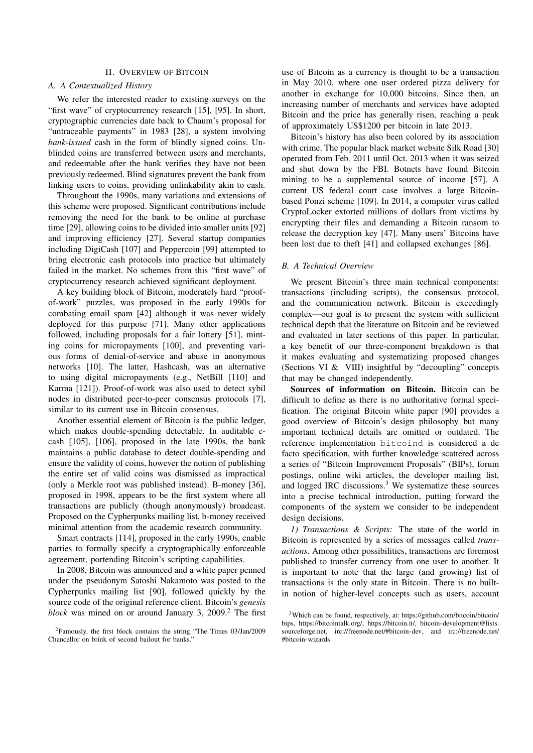# II. OVERVIEW OF BITCOIN

# *A. A Contextualized History*

We refer the interested reader to existing surveys on the "first wave" of cryptocurrency research [\[15\]](#page-16-1), [\[95\]](#page-17-1). In short, cryptographic currencies date back to Chaum's proposal for "untraceable payments" in 1983 [\[28\]](#page-16-2), a system involving *bank-issued* cash in the form of blindly signed coins. Unblinded coins are transferred between users and merchants, and redeemable after the bank verifies they have not been previously redeemed. Blind signatures prevent the bank from linking users to coins, providing unlinkability akin to cash.

Throughout the 1990s, many variations and extensions of this scheme were proposed. Significant contributions include removing the need for the bank to be online at purchase time [\[29\]](#page-16-3), allowing coins to be divided into smaller units [\[92\]](#page-17-2) and improving efficiency [\[27\]](#page-16-4). Several startup companies including DigiCash [\[107\]](#page-17-3) and Peppercoin [\[99\]](#page-17-4) attempted to bring electronic cash protocols into practice but ultimately failed in the market. No schemes from this "first wave" of cryptocurrency research achieved significant deployment.

A key building block of Bitcoin, moderately hard "proofof-work" puzzles, was proposed in the early 1990s for combating email spam [\[42\]](#page-16-5) although it was never widely deployed for this purpose [\[71\]](#page-17-5). Many other applications followed, including proposals for a fair lottery [\[51\]](#page-16-6), minting coins for micropayments [\[100\]](#page-17-6), and preventing various forms of denial-of-service and abuse in anonymous networks [\[10\]](#page-16-7). The latter, Hashcash, was an alternative to using digital micropayments (e.g., NetBill [\[110\]](#page-17-7) and Karma [\[121\]](#page-17-8)). Proof-of-work was also used to detect sybil nodes in distributed peer-to-peer consensus protocols [\[7\]](#page-16-0), similar to its current use in Bitcoin consensus.

Another essential element of Bitcoin is the public ledger, which makes double-spending detectable. In auditable ecash [\[105\]](#page-17-9), [\[106\]](#page-17-10), proposed in the late 1990s, the bank maintains a public database to detect double-spending and ensure the validity of coins, however the notion of publishing the entire set of valid coins was dismissed as impractical (only a Merkle root was published instead). B-money [\[36\]](#page-16-8), proposed in 1998, appears to be the first system where all transactions are publicly (though anonymously) broadcast. Proposed on the Cypherpunks mailing list, b-money received minimal attention from the academic research community.

Smart contracts [\[114\]](#page-17-11), proposed in the early 1990s, enable parties to formally specify a cryptographically enforceable agreement, portending Bitcoin's scripting capabilities.

In 2008, Bitcoin was announced and a white paper penned under the pseudonym Satoshi Nakamoto was posted to the Cypherpunks mailing list [\[90\]](#page-17-12), followed quickly by the source code of the original reference client. Bitcoin's *genesis*  $block$  was mined on or around January 3, [2](#page-1-0)009.<sup>2</sup> The first use of Bitcoin as a currency is thought to be a transaction in May 2010, where one user ordered pizza delivery for another in exchange for 10,000 bitcoins. Since then, an increasing number of merchants and services have adopted Bitcoin and the price has generally risen, reaching a peak of approximately US\$1200 per bitcoin in late 2013.

Bitcoin's history has also been colored by its association with crime. The popular black market website Silk Road [\[30\]](#page-16-9) operated from Feb. 2011 until Oct. 2013 when it was seized and shut down by the FBI. Botnets have found Bitcoin mining to be a supplemental source of income [\[57\]](#page-16-10). A current US federal court case involves a large Bitcoinbased Ponzi scheme [\[109\]](#page-17-13). In 2014, a computer virus called CryptoLocker extorted millions of dollars from victims by encrypting their files and demanding a Bitcoin ransom to release the decryption key [\[47\]](#page-16-11). Many users' Bitcoins have been lost due to theft [\[41\]](#page-16-12) and collapsed exchanges [\[86\]](#page-17-14).

#### *B. A Technical Overview*

We present Bitcoin's three main technical components: transactions (including scripts), the consensus protocol, and the communication network. Bitcoin is exceedingly complex—our goal is to present the system with sufficient technical depth that the literature on Bitcoin and be reviewed and evaluated in later sections of this paper. In particular, a key benefit of our three-component breakdown is that it makes evaluating and systematizing proposed changes (Sections [VI](#page-10-0) & [VIII\)](#page-14-0) insightful by "decoupling" concepts that may be changed independently.

Sources of information on Bitcoin. Bitcoin can be difficult to define as there is no authoritative formal specification. The original Bitcoin white paper [\[90\]](#page-17-12) provides a good overview of Bitcoin's design philosophy but many important technical details are omitted or outdated. The reference implementation bitcoind is considered a de facto specification, with further knowledge scattered across a series of "Bitcoin Improvement Proposals" (BIPs), forum postings, online wiki articles, the developer mailing list, and logged IRC discussions.[3](#page-1-1) We systematize these sources into a precise technical introduction, putting forward the components of the system we consider to be independent design decisions.

*1) Transactions & Scripts:* The state of the world in Bitcoin is represented by a series of messages called *transactions*. Among other possibilities, transactions are foremost published to transfer currency from one user to another. It is important to note that the large (and growing) list of transactions is the only state in Bitcoin. There is no builtin notion of higher-level concepts such as users, account

<span id="page-1-0"></span><sup>2</sup>Famously, the first block contains the string "The Times 03/Jan/2009 Chancellor on brink of second bailout for banks."

<span id="page-1-1"></span><sup>3</sup>Which can be found, respectively, at: [https://github.com/bitcoin/bitcoin/](https://github.com/bitcoin/bitcoin/bips) [bips,](https://github.com/bitcoin/bitcoin/bips) [https://bitcointalk.org/,](https://bitcointalk.org/) [https://bitcoin.it/,](https://bitcoin.it/) [bitcoin-development@lists.](bitcoin-development@lists.sourceforge.net) [sourceforge.net,](bitcoin-development@lists.sourceforge.net) [irc://freenode.net/#bitcoin-dev,](irc://freenode.net/#bitcoin-dev) and [irc://freenode.net/](irc://freenode.net/#bitcoin-wizards) [#bitcoin-wizards](irc://freenode.net/#bitcoin-wizards)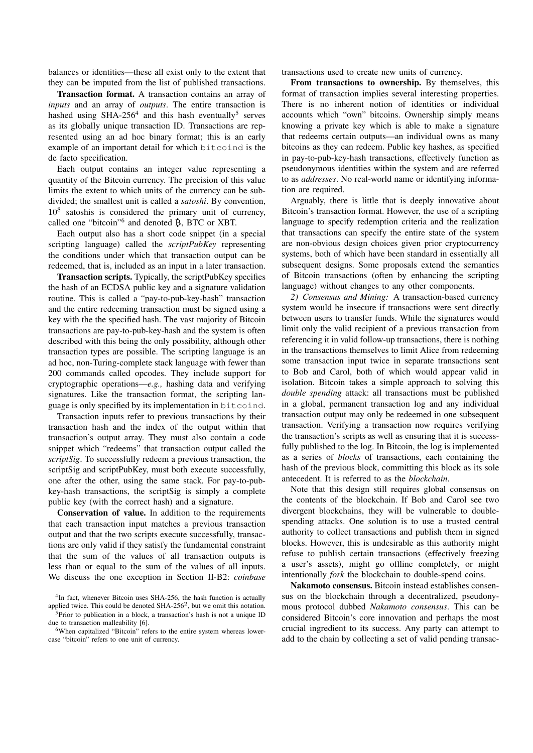balances or identities—these all exist only to the extent that they can be imputed from the list of published transactions.

Transaction format. A transaction contains an array of *inputs* and an array of *outputs*. The entire transaction is hashed using SHA-256<sup>[4](#page-2-0)</sup> and this hash eventually<sup>[5](#page-2-1)</sup> serves as its globally unique transaction ID. Transactions are represented using an ad hoc binary format; this is an early example of an important detail for which bitcoind is the de facto specification.

Each output contains an integer value representing a quantity of the Bitcoin currency. The precision of this value limits the extent to which units of the currency can be subdivided; the smallest unit is called a *satoshi*. By convention, 10<sup>8</sup> satoshis is considered the primary unit of currency, called one "bitcoin"<sup>[6](#page-2-2)</sup> and denoted  $\ddot{B}$ , BTC or XBT.

Each output also has a short code snippet (in a special scripting language) called the *scriptPubKey* representing the conditions under which that transaction output can be redeemed, that is, included as an input in a later transaction.

Transaction scripts. Typically, the scriptPubKey specifies the hash of an ECDSA public key and a signature validation routine. This is called a "pay-to-pub-key-hash" transaction and the entire redeeming transaction must be signed using a key with the the specified hash. The vast majority of Bitcoin transactions are pay-to-pub-key-hash and the system is often described with this being the only possibility, although other transaction types are possible. The scripting language is an ad hoc, non-Turing-complete stack language with fewer than 200 commands called opcodes. They include support for cryptographic operations—*e.g.,* hashing data and verifying signatures. Like the transaction format, the scripting language is only specified by its implementation in bitcoind.

Transaction inputs refer to previous transactions by their transaction hash and the index of the output within that transaction's output array. They must also contain a code snippet which "redeems" that transaction output called the *scriptSig*. To successfully redeem a previous transaction, the scriptSig and scriptPubKey, must both execute successfully, one after the other, using the same stack. For pay-to-pubkey-hash transactions, the scriptSig is simply a complete public key (with the correct hash) and a signature.

Conservation of value. In addition to the requirements that each transaction input matches a previous transaction output and that the two scripts execute successfully, transactions are only valid if they satisfy the fundamental constraint that the sum of the values of all transaction outputs is less than or equal to the sum of the values of all inputs. We discuss the one exception in Section [II-B2:](#page-2-3) *coinbase* transactions used to create new units of currency.

From transactions to ownership. By themselves, this format of transaction implies several interesting properties. There is no inherent notion of identities or individual accounts which "own" bitcoins. Ownership simply means knowing a private key which is able to make a signature that redeems certain outputs—an individual owns as many bitcoins as they can redeem. Public key hashes, as specified in pay-to-pub-key-hash transactions, effectively function as pseudonymous identities within the system and are referred to as *addresses*. No real-world name or identifying information are required.

Arguably, there is little that is deeply innovative about Bitcoin's transaction format. However, the use of a scripting language to specify redemption criteria and the realization that transactions can specify the entire state of the system are non-obvious design choices given prior cryptocurrency systems, both of which have been standard in essentially all subsequent designs. Some proposals extend the semantics of Bitcoin transactions (often by enhancing the scripting language) without changes to any other components.

<span id="page-2-3"></span>*2) Consensus and Mining:* A transaction-based currency system would be insecure if transactions were sent directly between users to transfer funds. While the signatures would limit only the valid recipient of a previous transaction from referencing it in valid follow-up transactions, there is nothing in the transactions themselves to limit Alice from redeeming some transaction input twice in separate transactions sent to Bob and Carol, both of which would appear valid in isolation. Bitcoin takes a simple approach to solving this *double spending* attack: all transactions must be published in a global, permanent transaction log and any individual transaction output may only be redeemed in one subsequent transaction. Verifying a transaction now requires verifying the transaction's scripts as well as ensuring that it is successfully published to the log. In Bitcoin, the log is implemented as a series of *blocks* of transactions, each containing the hash of the previous block, committing this block as its sole antecedent. It is referred to as the *blockchain*.

Note that this design still requires global consensus on the contents of the blockchain. If Bob and Carol see two divergent blockchains, they will be vulnerable to doublespending attacks. One solution is to use a trusted central authority to collect transactions and publish them in signed blocks. However, this is undesirable as this authority might refuse to publish certain transactions (effectively freezing a user's assets), might go offline completely, or might intentionally *fork* the blockchain to double-spend coins.

Nakamoto consensus. Bitcoin instead establishes consensus on the blockchain through a decentralized, pseudonymous protocol dubbed *Nakamoto consensus*. This can be considered Bitcoin's core innovation and perhaps the most crucial ingredient to its success. Any party can attempt to add to the chain by collecting a set of valid pending transac-

<span id="page-2-0"></span><sup>&</sup>lt;sup>4</sup>In fact, whenever Bitcoin uses SHA-256, the hash function is actually applied twice. This could be denoted  $SHA-256<sup>2</sup>$ , but we omit this notation.

<span id="page-2-1"></span><sup>&</sup>lt;sup>5</sup>Prior to publication in a block, a transaction's hash is not a unique ID due to transaction malleability [\[6\]](#page-16-13).

<span id="page-2-2"></span><sup>6</sup>When capitalized "Bitcoin" refers to the entire system whereas lowercase "bitcoin" refers to one unit of currency.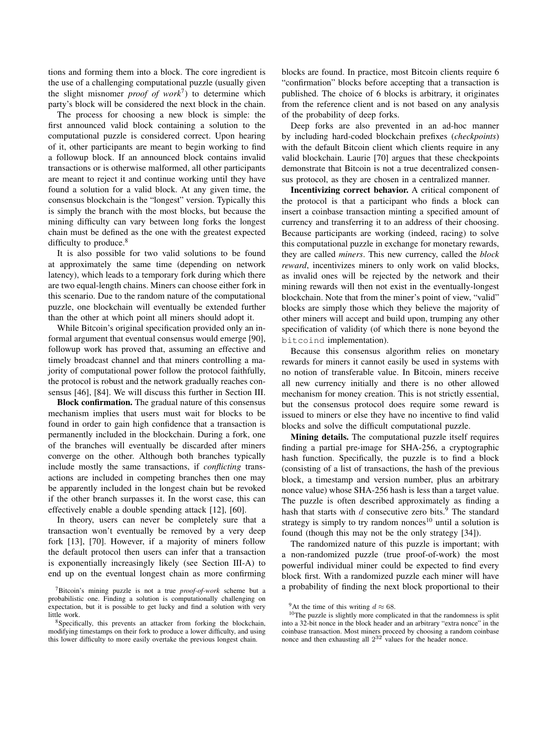tions and forming them into a block. The core ingredient is the use of a challenging computational puzzle (usually given the slight misnomer *proof of work*[7](#page-3-0) ) to determine which party's block will be considered the next block in the chain.

The process for choosing a new block is simple: the first announced valid block containing a solution to the computational puzzle is considered correct. Upon hearing of it, other participants are meant to begin working to find a followup block. If an announced block contains invalid transactions or is otherwise malformed, all other participants are meant to reject it and continue working until they have found a solution for a valid block. At any given time, the consensus blockchain is the "longest" version. Typically this is simply the branch with the most blocks, but because the mining difficulty can vary between long forks the longest chain must be defined as the one with the greatest expected difficulty to produce.<sup>[8](#page-3-1)</sup>

It is also possible for two valid solutions to be found at approximately the same time (depending on network latency), which leads to a temporary fork during which there are two equal-length chains. Miners can choose either fork in this scenario. Due to the random nature of the computational puzzle, one blockchain will eventually be extended further than the other at which point all miners should adopt it.

While Bitcoin's original specification provided only an informal argument that eventual consensus would emerge [\[90\]](#page-17-12), followup work has proved that, assuming an effective and timely broadcast channel and that miners controlling a majority of computational power follow the protocol faithfully, the protocol is robust and the network gradually reaches consensus [\[46\]](#page-16-14), [\[84\]](#page-17-15). We will discuss this further in Section [III.](#page-5-0)

Block confirmation. The gradual nature of this consensus mechanism implies that users must wait for blocks to be found in order to gain high confidence that a transaction is permanently included in the blockchain. During a fork, one of the branches will eventually be discarded after miners converge on the other. Although both branches typically include mostly the same transactions, if *conflicting* transactions are included in competing branches then one may be apparently included in the longest chain but be revoked if the other branch surpasses it. In the worst case, this can effectively enable a double spending attack [\[12\]](#page-16-15), [\[60\]](#page-17-16).

In theory, users can never be completely sure that a transaction won't eventually be removed by a very deep fork [\[13\]](#page-16-16), [\[70\]](#page-17-17). However, if a majority of miners follow the default protocol then users can infer that a transaction is exponentially increasingly likely (see Section [III-A\)](#page-5-1) to end up on the eventual longest chain as more confirming blocks are found. In practice, most Bitcoin clients require 6 "confirmation" blocks before accepting that a transaction is published. The choice of 6 blocks is arbitrary, it originates from the reference client and is not based on any analysis of the probability of deep forks.

Deep forks are also prevented in an ad-hoc manner by including hard-coded blockchain prefixes (*checkpoints*) with the default Bitcoin client which clients require in any valid blockchain. Laurie [\[70\]](#page-17-17) argues that these checkpoints demonstrate that Bitcoin is not a true decentralized consensus protocol, as they are chosen in a centralized manner.

Incentivizing correct behavior. A critical component of the protocol is that a participant who finds a block can insert a coinbase transaction minting a specified amount of currency and transferring it to an address of their choosing. Because participants are working (indeed, racing) to solve this computational puzzle in exchange for monetary rewards, they are called *miners*. This new currency, called the *block reward*, incentivizes miners to only work on valid blocks, as invalid ones will be rejected by the network and their mining rewards will then not exist in the eventually-longest blockchain. Note that from the miner's point of view, "valid" blocks are simply those which they believe the majority of other miners will accept and build upon, trumping any other specification of validity (of which there is none beyond the bitcoind implementation).

Because this consensus algorithm relies on monetary rewards for miners it cannot easily be used in systems with no notion of transferable value. In Bitcoin, miners receive all new currency initially and there is no other allowed mechanism for money creation. This is not strictly essential, but the consensus protocol does require some reward is issued to miners or else they have no incentive to find valid blocks and solve the difficult computational puzzle.

Mining details. The computational puzzle itself requires finding a partial pre-image for SHA-256, a cryptographic hash function. Specifically, the puzzle is to find a block (consisting of a list of transactions, the hash of the previous block, a timestamp and version number, plus an arbitrary nonce value) whose SHA-256 hash is less than a target value. The puzzle is often described approximately as finding a hash that starts with  $d$  consecutive zero bits.<sup>[9](#page-3-2)</sup> The standard strategy is simply to try random nonces<sup>[10](#page-3-3)</sup> until a solution is found (though this may not be the only strategy [\[34\]](#page-16-17)).

The randomized nature of this puzzle is important; with a non-randomized puzzle (true proof-of-work) the most powerful individual miner could be expected to find every block first. With a randomized puzzle each miner will have a probability of finding the next block proportional to their

<span id="page-3-0"></span><sup>7</sup>Bitcoin's mining puzzle is not a true *proof-of-work* scheme but a probabilistic one. Finding a solution is computationally challenging on expectation, but it is possible to get lucky and find a solution with very little work.

<span id="page-3-1"></span><sup>8</sup>Specifically, this prevents an attacker from forking the blockchain, modifying timestamps on their fork to produce a lower difficulty, and using this lower difficulty to more easily overtake the previous longest chain.

<span id="page-3-3"></span><span id="page-3-2"></span><sup>&</sup>lt;sup>9</sup>At the time of this writing  $d \approx 68$ .

<sup>&</sup>lt;sup>10</sup>The puzzle is slightly more complicated in that the randomness is split into a 32-bit nonce in the block header and an arbitrary "extra nonce" in the coinbase transaction. Most miners proceed by choosing a random coinbase nonce and then exhausting all  $2^{32}$  values for the header nonce.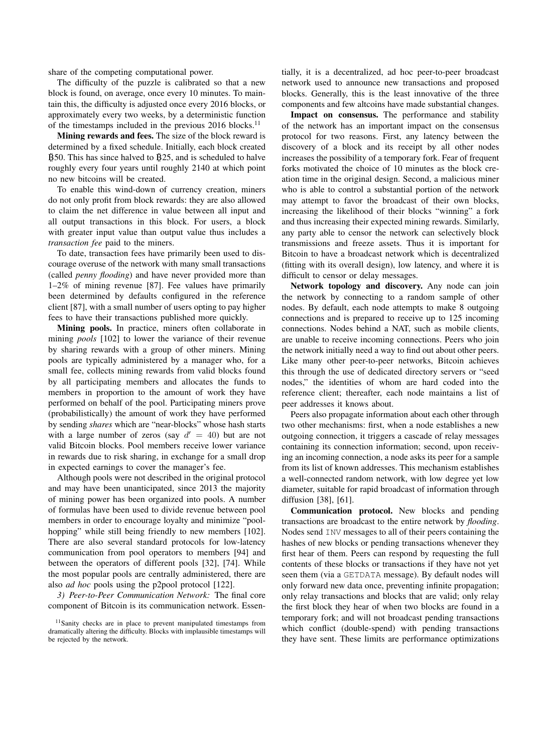share of the competing computational power.

The difficulty of the puzzle is calibrated so that a new block is found, on average, once every 10 minutes. To maintain this, the difficulty is adjusted once every 2016 blocks, or approximately every two weeks, by a deterministic function of the timestamps included in the previous 2016 blocks.<sup>[11](#page-4-0)</sup>

Mining rewards and fees. The size of the block reward is determined by a fixed schedule. Initially, each block created B50. This has since halved to B25, and is scheduled to halve roughly every four years until roughly 2140 at which point no new bitcoins will be created.

To enable this wind-down of currency creation, miners do not only profit from block rewards: they are also allowed to claim the net difference in value between all input and all output transactions in this block. For users, a block with greater input value than output value thus includes a *transaction fee* paid to the miners.

To date, transaction fees have primarily been used to discourage overuse of the network with many small transactions (called *penny flooding*) and have never provided more than 1–2% of mining revenue [\[87\]](#page-17-18). Fee values have primarily been determined by defaults configured in the reference client [\[87\]](#page-17-18), with a small number of users opting to pay higher fees to have their transactions published more quickly.

Mining pools. In practice, miners often collaborate in mining *pools* [\[102\]](#page-17-19) to lower the variance of their revenue by sharing rewards with a group of other miners. Mining pools are typically administered by a manager who, for a small fee, collects mining rewards from valid blocks found by all participating members and allocates the funds to members in proportion to the amount of work they have performed on behalf of the pool. Participating miners prove (probabilistically) the amount of work they have performed by sending *shares* which are "near-blocks" whose hash starts with a large number of zeros (say  $d' = 40$ ) but are not valid Bitcoin blocks. Pool members receive lower variance in rewards due to risk sharing, in exchange for a small drop in expected earnings to cover the manager's fee.

Although pools were not described in the original protocol and may have been unanticipated, since 2013 the majority of mining power has been organized into pools. A number of formulas have been used to divide revenue between pool members in order to encourage loyalty and minimize "pool-hopping" while still being friendly to new members [\[102\]](#page-17-19). There are also several standard protocols for low-latency communication from pool operators to members [\[94\]](#page-17-20) and between the operators of different pools [\[32\]](#page-16-18), [\[74\]](#page-17-21). While the most popular pools are centrally administered, there are also *ad hoc* pools using the p2pool protocol [\[122\]](#page-17-22).

<span id="page-4-1"></span>*3) Peer-to-Peer Communication Network:* The final core component of Bitcoin is its communication network. Essen-

tially, it is a decentralized, ad hoc peer-to-peer broadcast network used to announce new transactions and proposed blocks. Generally, this is the least innovative of the three components and few altcoins have made substantial changes.

Impact on consensus. The performance and stability of the network has an important impact on the consensus protocol for two reasons. First, any latency between the discovery of a block and its receipt by all other nodes increases the possibility of a temporary fork. Fear of frequent forks motivated the choice of 10 minutes as the block creation time in the original design. Second, a malicious miner who is able to control a substantial portion of the network may attempt to favor the broadcast of their own blocks, increasing the likelihood of their blocks "winning" a fork and thus increasing their expected mining rewards. Similarly, any party able to censor the network can selectively block transmissions and freeze assets. Thus it is important for Bitcoin to have a broadcast network which is decentralized (fitting with its overall design), low latency, and where it is difficult to censor or delay messages.

Network topology and discovery. Any node can join the network by connecting to a random sample of other nodes. By default, each node attempts to make 8 outgoing connections and is prepared to receive up to 125 incoming connections. Nodes behind a NAT, such as mobile clients, are unable to receive incoming connections. Peers who join the network initially need a way to find out about other peers. Like many other peer-to-peer networks, Bitcoin achieves this through the use of dedicated directory servers or "seed nodes," the identities of whom are hard coded into the reference client; thereafter, each node maintains a list of peer addresses it knows about.

Peers also propagate information about each other through two other mechanisms: first, when a node establishes a new outgoing connection, it triggers a cascade of relay messages containing its connection information; second, upon receiving an incoming connection, a node asks its peer for a sample from its list of known addresses. This mechanism establishes a well-connected random network, with low degree yet low diameter, suitable for rapid broadcast of information through diffusion [\[38\]](#page-16-19), [\[61\]](#page-17-23).

Communication protocol. New blocks and pending transactions are broadcast to the entire network by *flooding*. Nodes send INV messages to all of their peers containing the hashes of new blocks or pending transactions whenever they first hear of them. Peers can respond by requesting the full contents of these blocks or transactions if they have not yet seen them (via a GETDATA message). By default nodes will only forward new data once, preventing infinite propagation; only relay transactions and blocks that are valid; only relay the first block they hear of when two blocks are found in a temporary fork; and will not broadcast pending transactions which conflict (double-spend) with pending transactions they have sent. These limits are performance optimizations

<span id="page-4-0"></span><sup>11</sup>Sanity checks are in place to prevent manipulated timestamps from dramatically altering the difficulty. Blocks with implausible timestamps will be rejected by the network.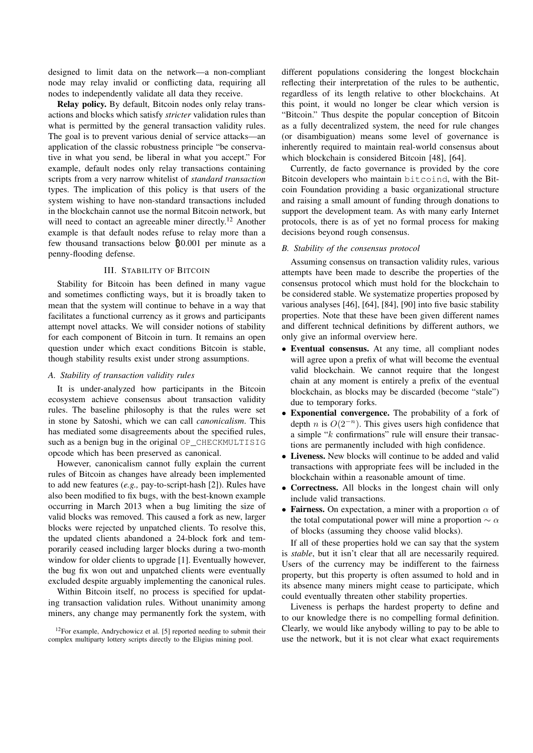designed to limit data on the network—a non-compliant node may relay invalid or conflicting data, requiring all nodes to independently validate all data they receive.

Relay policy. By default, Bitcoin nodes only relay transactions and blocks which satisfy *stricter* validation rules than what is permitted by the general transaction validity rules. The goal is to prevent various denial of service attacks—an application of the classic robustness principle "be conservative in what you send, be liberal in what you accept." For example, default nodes only relay transactions containing scripts from a very narrow whitelist of *standard transaction* types. The implication of this policy is that users of the system wishing to have non-standard transactions included in the blockchain cannot use the normal Bitcoin network, but will need to contact an agreeable miner directly.<sup>[12](#page-5-2)</sup> Another example is that default nodes refuse to relay more than a few thousand transactions below B0.001 per minute as a penny-flooding defense.

### III. STABILITY OF BITCOIN

<span id="page-5-0"></span>Stability for Bitcoin has been defined in many vague and sometimes conflicting ways, but it is broadly taken to mean that the system will continue to behave in a way that facilitates a functional currency as it grows and participants attempt novel attacks. We will consider notions of stability for each component of Bitcoin in turn. It remains an open question under which exact conditions Bitcoin is stable, though stability results exist under strong assumptions.

# <span id="page-5-1"></span>*A. Stability of transaction validity rules*

It is under-analyzed how participants in the Bitcoin ecosystem achieve consensus about transaction validity rules. The baseline philosophy is that the rules were set in stone by Satoshi, which we can call *canonicalism*. This has mediated some disagreements about the specified rules, such as a benign bug in the original OP\_CHECKMULTISIG opcode which has been preserved as canonical.

However, canonicalism cannot fully explain the current rules of Bitcoin as changes have already been implemented to add new features (*e.g.,* pay-to-script-hash [\[2\]](#page-16-20)). Rules have also been modified to fix bugs, with the best-known example occurring in March 2013 when a bug limiting the size of valid blocks was removed. This caused a fork as new, larger blocks were rejected by unpatched clients. To resolve this, the updated clients abandoned a 24-block fork and temporarily ceased including larger blocks during a two-month window for older clients to upgrade [\[1\]](#page-16-21). Eventually however, the bug fix won out and unpatched clients were eventually excluded despite arguably implementing the canonical rules.

Within Bitcoin itself, no process is specified for updating transaction validation rules. Without unanimity among miners, any change may permanently fork the system, with

different populations considering the longest blockchain reflecting their interpretation of the rules to be authentic, regardless of its length relative to other blockchains. At this point, it would no longer be clear which version is "Bitcoin." Thus despite the popular conception of Bitcoin as a fully decentralized system, the need for rule changes (or disambiguation) means some level of governance is inherently required to maintain real-world consensus about which blockchain is considered Bitcoin [\[48\]](#page-16-23), [\[64\]](#page-17-24).

Currently, de facto governance is provided by the core Bitcoin developers who maintain bitcoind, with the Bitcoin Foundation providing a basic organizational structure and raising a small amount of funding through donations to support the development team. As with many early Internet protocols, there is as of yet no formal process for making decisions beyond rough consensus.

### <span id="page-5-3"></span>*B. Stability of the consensus protocol*

Assuming consensus on transaction validity rules, various attempts have been made to describe the properties of the consensus protocol which must hold for the blockchain to be considered stable. We systematize properties proposed by various analyses [\[46\]](#page-16-14), [\[64\]](#page-17-24), [\[84\]](#page-17-15), [\[90\]](#page-17-12) into five basic stability properties. Note that these have been given different names and different technical definitions by different authors, we only give an informal overview here.

- Eventual consensus. At any time, all compliant nodes will agree upon a prefix of what will become the eventual valid blockchain. We cannot require that the longest chain at any moment is entirely a prefix of the eventual blockchain, as blocks may be discarded (become "stale") due to temporary forks.
- Exponential convergence. The probability of a fork of depth *n* is  $O(2^{-n})$ . This gives users high confidence that a simple "k confirmations" rule will ensure their transactions are permanently included with high confidence.
- Liveness. New blocks will continue to be added and valid transactions with appropriate fees will be included in the blockchain within a reasonable amount of time.
- Correctness. All blocks in the longest chain will only include valid transactions.
- Fairness. On expectation, a miner with a proportion  $\alpha$  of the total computational power will mine a proportion  $\sim \alpha$ of blocks (assuming they choose valid blocks).

If all of these properties hold we can say that the system is *stable*, but it isn't clear that all are necessarily required. Users of the currency may be indifferent to the fairness property, but this property is often assumed to hold and in its absence many miners might cease to participate, which could eventually threaten other stability properties.

Liveness is perhaps the hardest property to define and to our knowledge there is no compelling formal definition. Clearly, we would like anybody willing to pay to be able to use the network, but it is not clear what exact requirements

<span id="page-5-2"></span><sup>12</sup>For example, Andrychowicz et al. [\[5\]](#page-16-22) reported needing to submit their complex multiparty lottery scripts directly to the Eligius mining pool.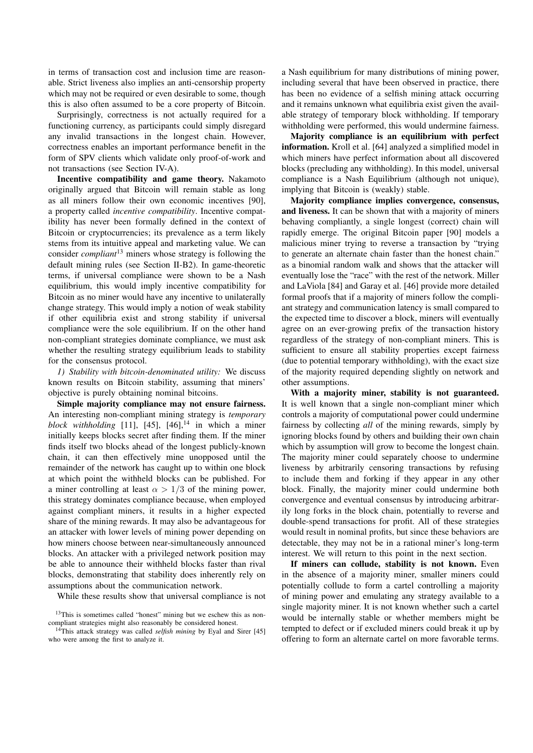in terms of transaction cost and inclusion time are reasonable. Strict liveness also implies an anti-censorship property which may not be required or even desirable to some, though this is also often assumed to be a core property of Bitcoin.

Surprisingly, correctness is not actually required for a functioning currency, as participants could simply disregard any invalid transactions in the longest chain. However, correctness enables an important performance benefit in the form of SPV clients which validate only proof-of-work and not transactions (see Section [IV-A\)](#page-8-0).

Incentive compatibility and game theory. Nakamoto originally argued that Bitcoin will remain stable as long as all miners follow their own economic incentives [\[90\]](#page-17-12), a property called *incentive compatibility*. Incentive compatibility has never been formally defined in the context of Bitcoin or cryptocurrencies; its prevalence as a term likely stems from its intuitive appeal and marketing value. We can consider *compliant*[13](#page-6-0) miners whose strategy is following the default mining rules (see Section [II-B2\)](#page-2-3). In game-theoretic terms, if universal compliance were shown to be a Nash equilibrium, this would imply incentive compatibility for Bitcoin as no miner would have any incentive to unilaterally change strategy. This would imply a notion of weak stability if other equilibria exist and strong stability if universal compliance were the sole equilibrium. If on the other hand non-compliant strategies dominate compliance, we must ask whether the resulting strategy equilibrium leads to stability for the consensus protocol.

*1) Stability with bitcoin-denominated utility:* We discuss known results on Bitcoin stability, assuming that miners' objective is purely obtaining nominal bitcoins.

Simple majority compliance may not ensure fairness. An interesting non-compliant mining strategy is *temporary block withholding* [\[11\]](#page-16-24), [\[45\]](#page-16-25), [\[46\]](#page-16-14),<sup>[14](#page-6-1)</sup> in which a miner initially keeps blocks secret after finding them. If the miner finds itself two blocks ahead of the longest publicly-known chain, it can then effectively mine unopposed until the remainder of the network has caught up to within one block at which point the withheld blocks can be published. For a miner controlling at least  $\alpha > 1/3$  of the mining power, this strategy dominates compliance because, when employed against compliant miners, it results in a higher expected share of the mining rewards. It may also be advantageous for an attacker with lower levels of mining power depending on how miners choose between near-simultaneously announced blocks. An attacker with a privileged network position may be able to announce their withheld blocks faster than rival blocks, demonstrating that stability does inherently rely on assumptions about the communication network.

While these results show that universal compliance is not

a Nash equilibrium for many distributions of mining power, including several that have been observed in practice, there has been no evidence of a selfish mining attack occurring and it remains unknown what equilibria exist given the available strategy of temporary block withholding. If temporary withholding were performed, this would undermine fairness.

Majority compliance is an equilibrium with perfect information. Kroll et al. [\[64\]](#page-17-24) analyzed a simplified model in which miners have perfect information about all discovered blocks (precluding any withholding). In this model, universal compliance is a Nash Equilibrium (although not unique), implying that Bitcoin is (weakly) stable.

Majority compliance implies convergence, consensus, and liveness. It can be shown that with a majority of miners behaving compliantly, a single longest (correct) chain will rapidly emerge. The original Bitcoin paper [\[90\]](#page-17-12) models a malicious miner trying to reverse a transaction by "trying to generate an alternate chain faster than the honest chain." as a binomial random walk and shows that the attacker will eventually lose the "race" with the rest of the network. Miller and LaViola [\[84\]](#page-17-15) and Garay et al. [\[46\]](#page-16-14) provide more detailed formal proofs that if a majority of miners follow the compliant strategy and communication latency is small compared to the expected time to discover a block, miners will eventually agree on an ever-growing prefix of the transaction history regardless of the strategy of non-compliant miners. This is sufficient to ensure all stability properties except fairness (due to potential temporary withholding), with the exact size of the majority required depending slightly on network and other assumptions.

With a majority miner, stability is not guaranteed. It is well known that a single non-compliant miner which controls a majority of computational power could undermine fairness by collecting *all* of the mining rewards, simply by ignoring blocks found by others and building their own chain which by assumption will grow to become the longest chain. The majority miner could separately choose to undermine liveness by arbitrarily censoring transactions by refusing to include them and forking if they appear in any other block. Finally, the majority miner could undermine both convergence and eventual consensus by introducing arbitrarily long forks in the block chain, potentially to reverse and double-spend transactions for profit. All of these strategies would result in nominal profits, but since these behaviors are detectable, they may not be in a rational miner's long-term interest. We will return to this point in the next section.

If miners can collude, stability is not known. Even in the absence of a majority miner, smaller miners could potentially collude to form a cartel controlling a majority of mining power and emulating any strategy available to a single majority miner. It is not known whether such a cartel would be internally stable or whether members might be tempted to defect or if excluded miners could break it up by offering to form an alternate cartel on more favorable terms.

<span id="page-6-0"></span> $13$ This is sometimes called "honest" mining but we eschew this as noncompliant strategies might also reasonably be considered honest.

<span id="page-6-1"></span><sup>&</sup>lt;sup>14</sup>This attack strategy was called *selfish mining* by Eyal and Sirer [\[45\]](#page-16-25) who were among the first to analyze it.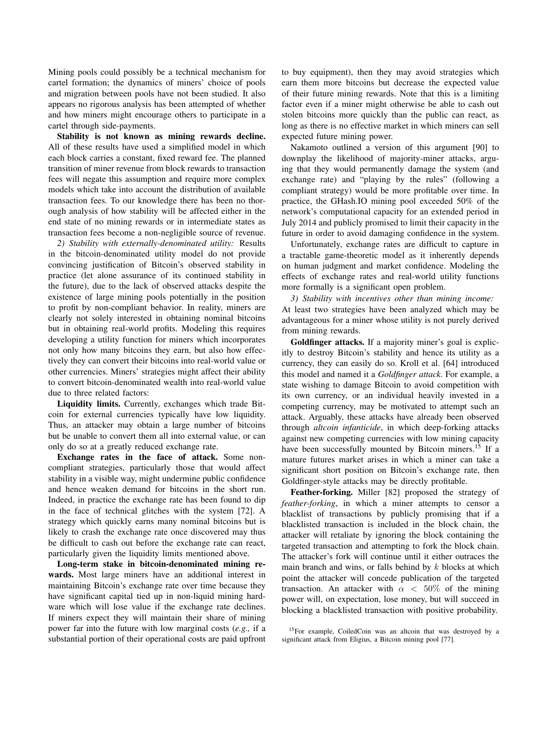Mining pools could possibly be a technical mechanism for cartel formation; the dynamics of miners' choice of pools and migration between pools have not been studied. It also appears no rigorous analysis has been attempted of whether and how miners might encourage others to participate in a cartel through side-payments.

Stability is not known as mining rewards decline. All of these results have used a simplified model in which each block carries a constant, fixed reward fee. The planned transition of miner revenue from block rewards to transaction fees will negate this assumption and require more complex models which take into account the distribution of available transaction fees. To our knowledge there has been no thorough analysis of how stability will be affected either in the end state of no mining rewards or in intermediate states as transaction fees become a non-negligible source of revenue.

<span id="page-7-1"></span>*2) Stability with externally-denominated utility:* Results in the bitcoin-denominated utility model do not provide convincing justification of Bitcoin's observed stability in practice (let alone assurance of its continued stability in the future), due to the lack of observed attacks despite the existence of large mining pools potentially in the position to profit by non-compliant behavior. In reality, miners are clearly not solely interested in obtaining nominal bitcoins but in obtaining real-world profits. Modeling this requires developing a utility function for miners which incorporates not only how many bitcoins they earn, but also how effectively they can convert their bitcoins into real-world value or other currencies. Miners' strategies might affect their ability to convert bitcoin-denominated wealth into real-world value due to three related factors:

Liquidity limits. Currently, exchanges which trade Bitcoin for external currencies typically have low liquidity. Thus, an attacker may obtain a large number of bitcoins but be unable to convert them all into external value, or can only do so at a greatly reduced exchange rate.

Exchange rates in the face of attack. Some noncompliant strategies, particularly those that would affect stability in a visible way, might undermine public confidence and hence weaken demand for bitcoins in the short run. Indeed, in practice the exchange rate has been found to dip in the face of technical glitches with the system [\[72\]](#page-17-25). A strategy which quickly earns many nominal bitcoins but is likely to crash the exchange rate once discovered may thus be difficult to cash out before the exchange rate can react, particularly given the liquidity limits mentioned above.

Long-term stake in bitcoin-denominated mining rewards. Most large miners have an additional interest in maintaining Bitcoin's exchange rate over time because they have significant capital tied up in non-liquid mining hardware which will lose value if the exchange rate declines. If miners expect they will maintain their share of mining power far into the future with low marginal costs (*e.g.,* if a substantial portion of their operational costs are paid upfront

to buy equipment), then they may avoid strategies which earn them more bitcoins but decrease the expected value of their future mining rewards. Note that this is a limiting factor even if a miner might otherwise be able to cash out stolen bitcoins more quickly than the public can react, as long as there is no effective market in which miners can sell expected future mining power.

Nakamoto outlined a version of this argument [\[90\]](#page-17-12) to downplay the likelihood of majority-miner attacks, arguing that they would permanently damage the system (and exchange rate) and "playing by the rules" (following a compliant strategy) would be more profitable over time. In practice, the GHash.IO mining pool exceeded 50% of the network's computational capacity for an extended period in July 2014 and publicly promised to limit their capacity in the future in order to avoid damaging confidence in the system.

Unfortunately, exchange rates are difficult to capture in a tractable game-theoretic model as it inherently depends on human judgment and market confidence. Modeling the effects of exchange rates and real-world utility functions more formally is a significant open problem.

*3) Stability with incentives other than mining income:* At least two strategies have been analyzed which may be advantageous for a miner whose utility is not purely derived from mining rewards.

Goldfinger attacks. If a majority miner's goal is explicitly to destroy Bitcoin's stability and hence its utility as a currency, they can easily do so. Kroll et al. [\[64\]](#page-17-24) introduced this model and named it a *Goldfinger attack*. For example, a state wishing to damage Bitcoin to avoid competition with its own currency, or an individual heavily invested in a competing currency, may be motivated to attempt such an attack. Arguably, these attacks have already been observed through *altcoin infanticide*, in which deep-forking attacks against new competing currencies with low mining capacity have been successfully mounted by Bitcoin miners.<sup>[15](#page-7-0)</sup> If a mature futures market arises in which a miner can take a significant short position on Bitcoin's exchange rate, then Goldfinger-style attacks may be directly profitable.

Feather-forking. Miller [\[82\]](#page-17-26) proposed the strategy of *feather-forking*, in which a miner attempts to censor a blacklist of transactions by publicly promising that if a blacklisted transaction is included in the block chain, the attacker will retaliate by ignoring the block containing the targeted transaction and attempting to fork the block chain. The attacker's fork will continue until it either outraces the main branch and wins, or falls behind by  $k$  blocks at which point the attacker will concede publication of the targeted transaction. An attacker with  $\alpha < 50\%$  of the mining power will, on expectation, lose money, but will succeed in blocking a blacklisted transaction with positive probability.

<span id="page-7-0"></span><sup>15</sup>For example, CoiledCoin was an altcoin that was destroyed by a significant attack from Eligius, a Bitcoin mining pool [\[77\]](#page-17-27).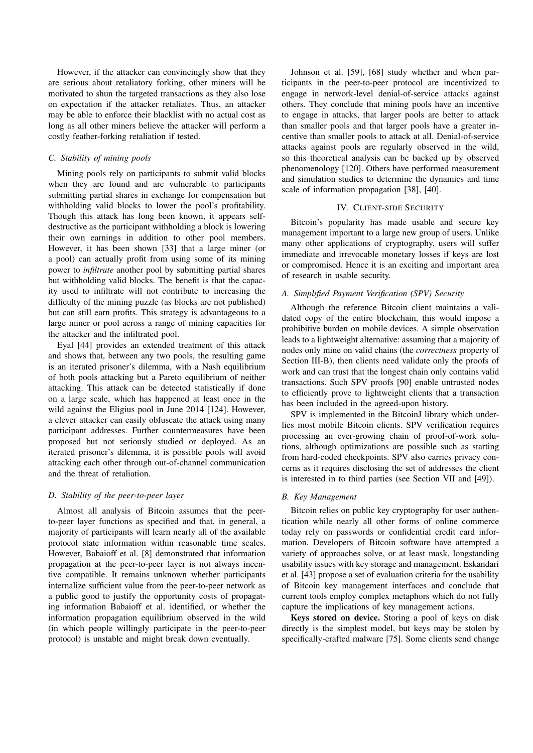However, if the attacker can convincingly show that they are serious about retaliatory forking, other miners will be motivated to shun the targeted transactions as they also lose on expectation if the attacker retaliates. Thus, an attacker may be able to enforce their blacklist with no actual cost as long as all other miners believe the attacker will perform a costly feather-forking retaliation if tested.

# *C. Stability of mining pools*

Mining pools rely on participants to submit valid blocks when they are found and are vulnerable to participants submitting partial shares in exchange for compensation but withholding valid blocks to lower the pool's profitability. Though this attack has long been known, it appears selfdestructive as the participant withholding a block is lowering their own earnings in addition to other pool members. However, it has been shown [\[33\]](#page-16-26) that a large miner (or a pool) can actually profit from using some of its mining power to *infiltrate* another pool by submitting partial shares but withholding valid blocks. The benefit is that the capacity used to infiltrate will not contribute to increasing the difficulty of the mining puzzle (as blocks are not published) but can still earn profits. This strategy is advantageous to a large miner or pool across a range of mining capacities for the attacker and the infiltrated pool.

Eyal [\[44\]](#page-16-27) provides an extended treatment of this attack and shows that, between any two pools, the resulting game is an iterated prisoner's dilemma, with a Nash equilibrium of both pools attacking but a Pareto equilibrium of neither attacking. This attack can be detected statistically if done on a large scale, which has happened at least once in the wild against the Eligius pool in June 2014 [\[124\]](#page-17-28). However, a clever attacker can easily obfuscate the attack using many participant addresses. Further countermeasures have been proposed but not seriously studied or deployed. As an iterated prisoner's dilemma, it is possible pools will avoid attacking each other through out-of-channel communication and the threat of retaliation.

### *D. Stability of the peer-to-peer layer*

Almost all analysis of Bitcoin assumes that the peerto-peer layer functions as specified and that, in general, a majority of participants will learn nearly all of the available protocol state information within reasonable time scales. However, Babaioff et al. [\[8\]](#page-16-28) demonstrated that information propagation at the peer-to-peer layer is not always incentive compatible. It remains unknown whether participants internalize sufficient value from the peer-to-peer network as a public good to justify the opportunity costs of propagating information Babaioff et al. identified, or whether the information propagation equilibrium observed in the wild (in which people willingly participate in the peer-to-peer protocol) is unstable and might break down eventually.

Johnson et al. [\[59\]](#page-16-29), [\[68\]](#page-17-29) study whether and when participants in the peer-to-peer protocol are incentivized to engage in network-level denial-of-service attacks against others. They conclude that mining pools have an incentive to engage in attacks, that larger pools are better to attack than smaller pools and that larger pools have a greater incentive than smaller pools to attack at all. Denial-of-service attacks against pools are regularly observed in the wild, so this theoretical analysis can be backed up by observed phenomenology [\[120\]](#page-17-30). Others have performed measurement and simulation studies to determine the dynamics and time scale of information propagation [\[38\]](#page-16-19), [\[40\]](#page-16-30).

#### IV. CLIENT-SIDE SECURITY

Bitcoin's popularity has made usable and secure key management important to a large new group of users. Unlike many other applications of cryptography, users will suffer immediate and irrevocable monetary losses if keys are lost or compromised. Hence it is an exciting and important area of research in usable security.

# <span id="page-8-0"></span>*A. Simplified Payment Verification (SPV) Security*

Although the reference Bitcoin client maintains a validated copy of the entire blockchain, this would impose a prohibitive burden on mobile devices. A simple observation leads to a lightweight alternative: assuming that a majority of nodes only mine on valid chains (the *correctness* property of Section [III-B\)](#page-5-3), then clients need validate only the proofs of work and can trust that the longest chain only contains valid transactions. Such SPV proofs [\[90\]](#page-17-12) enable untrusted nodes to efficiently prove to lightweight clients that a transaction has been included in the agreed-upon history.

SPV is implemented in the BitcoinJ library which underlies most mobile Bitcoin clients. SPV verification requires processing an ever-growing chain of proof-of-work solutions, although optimizations are possible such as starting from hard-coded checkpoints. SPV also carries privacy concerns as it requires disclosing the set of addresses the client is interested in to third parties (see Section [VII](#page-12-0) and [\[49\]](#page-16-31)).

# *B. Key Management*

Bitcoin relies on public key cryptography for user authentication while nearly all other forms of online commerce today rely on passwords or confidential credit card information. Developers of Bitcoin software have attempted a variety of approaches solve, or at least mask, longstanding usability issues with key storage and management. Eskandari et al. [\[43\]](#page-16-32) propose a set of evaluation criteria for the usability of Bitcoin key management interfaces and conclude that current tools employ complex metaphors which do not fully capture the implications of key management actions.

Keys stored on device. Storing a pool of keys on disk directly is the simplest model, but keys may be stolen by specifically-crafted malware [\[75\]](#page-17-31). Some clients send change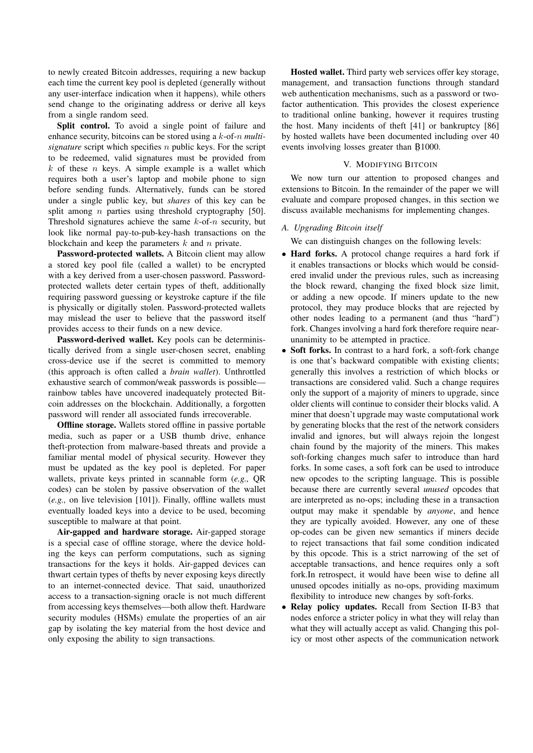to newly created Bitcoin addresses, requiring a new backup each time the current key pool is depleted (generally without any user-interface indication when it happens), while others send change to the originating address or derive all keys from a single random seed.

Split control. To avoid a single point of failure and enhance security, bitcoins can be stored using a k-of-n *multisignature* script which specifies n public keys. For the script to be redeemed, valid signatures must be provided from  $k$  of these  $n$  keys. A simple example is a wallet which requires both a user's laptop and mobile phone to sign before sending funds. Alternatively, funds can be stored under a single public key, but *shares* of this key can be split among *n* parties using threshold cryptography [\[50\]](#page-16-33). Threshold signatures achieve the same  $k$ -of- $n$  security, but look like normal pay-to-pub-key-hash transactions on the blockchain and keep the parameters  $k$  and  $n$  private.

Password-protected wallets. A Bitcoin client may allow a stored key pool file (called a wallet) to be encrypted with a key derived from a user-chosen password. Passwordprotected wallets deter certain types of theft, additionally requiring password guessing or keystroke capture if the file is physically or digitally stolen. Password-protected wallets may mislead the user to believe that the password itself provides access to their funds on a new device.

Password-derived wallet. Key pools can be deterministically derived from a single user-chosen secret, enabling cross-device use if the secret is committed to memory (this approach is often called a *brain wallet*). Unthrottled exhaustive search of common/weak passwords is possible rainbow tables have uncovered inadequately protected Bitcoin addresses on the blockchain. Additionally, a forgotten password will render all associated funds irrecoverable.

Offline storage. Wallets stored offline in passive portable media, such as paper or a USB thumb drive, enhance theft-protection from malware-based threats and provide a familiar mental model of physical security. However they must be updated as the key pool is depleted. For paper wallets, private keys printed in scannable form (*e.g.,* QR codes) can be stolen by passive observation of the wallet (*e.g.,* on live television [\[101\]](#page-17-32)). Finally, offline wallets must eventually loaded keys into a device to be used, becoming susceptible to malware at that point.

Air-gapped and hardware storage. Air-gapped storage is a special case of offline storage, where the device holding the keys can perform computations, such as signing transactions for the keys it holds. Air-gapped devices can thwart certain types of thefts by never exposing keys directly to an internet-connected device. That said, unauthorized access to a transaction-signing oracle is not much different from accessing keys themselves—both allow theft. Hardware security modules (HSMs) emulate the properties of an air gap by isolating the key material from the host device and only exposing the ability to sign transactions.

Hosted wallet. Third party web services offer key storage, management, and transaction functions through standard web authentication mechanisms, such as a password or twofactor authentication. This provides the closest experience to traditional online banking, however it requires trusting the host. Many incidents of theft [\[41\]](#page-16-12) or bankruptcy [\[86\]](#page-17-14) by hosted wallets have been documented including over 40 events involving losses greater than  $\ddot{B}1000$ .

# V. MODIFYING BITCOIN

We now turn our attention to proposed changes and extensions to Bitcoin. In the remainder of the paper we will evaluate and compare proposed changes, in this section we discuss available mechanisms for implementing changes.

### *A. Upgrading Bitcoin itself*

We can distinguish changes on the following levels:

- Hard forks. A protocol change requires a hard fork if it enables transactions or blocks which would be considered invalid under the previous rules, such as increasing the block reward, changing the fixed block size limit, or adding a new opcode. If miners update to the new protocol, they may produce blocks that are rejected by other nodes leading to a permanent (and thus "hard") fork. Changes involving a hard fork therefore require nearunanimity to be attempted in practice.
- Soft forks. In contrast to a hard fork, a soft-fork change is one that's backward compatible with existing clients; generally this involves a restriction of which blocks or transactions are considered valid. Such a change requires only the support of a majority of miners to upgrade, since older clients will continue to consider their blocks valid. A miner that doesn't upgrade may waste computational work by generating blocks that the rest of the network considers invalid and ignores, but will always rejoin the longest chain found by the majority of the miners. This makes soft-forking changes much safer to introduce than hard forks. In some cases, a soft fork can be used to introduce new opcodes to the scripting language. This is possible because there are currently several *unused* opcodes that are interpreted as no-ops; including these in a transaction output may make it spendable by *anyone*, and hence they are typically avoided. However, any one of these op-codes can be given new semantics if miners decide to reject transactions that fail some condition indicated by this opcode. This is a strict narrowing of the set of acceptable transactions, and hence requires only a soft fork.In retrospect, it would have been wise to define all unused opcodes initially as no-ops, providing maximum flexibility to introduce new changes by soft-forks.
- Relay policy updates. Recall from Section [II-B3](#page-4-1) that nodes enforce a stricter policy in what they will relay than what they will actually accept as valid. Changing this policy or most other aspects of the communication network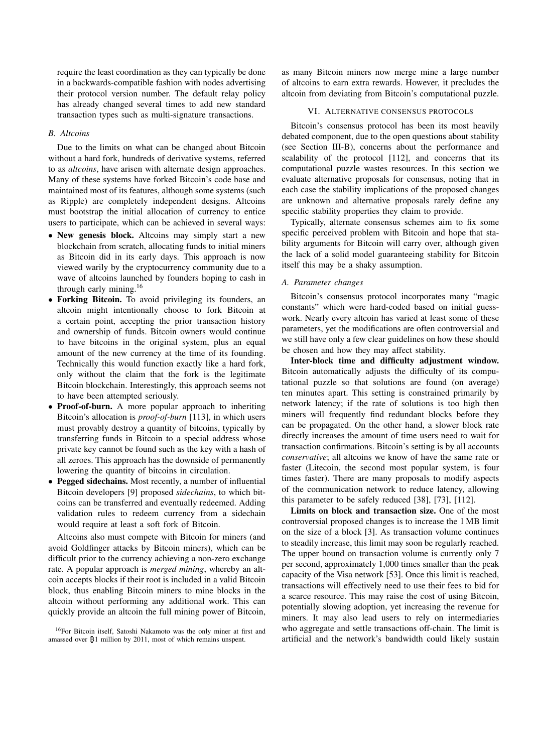require the least coordination as they can typically be done in a backwards-compatible fashion with nodes advertising their protocol version number. The default relay policy has already changed several times to add new standard transaction types such as multi-signature transactions.

# *B. Altcoins*

Due to the limits on what can be changed about Bitcoin without a hard fork, hundreds of derivative systems, referred to as *altcoins*, have arisen with alternate design approaches. Many of these systems have forked Bitcoin's code base and maintained most of its features, although some systems (such as Ripple) are completely independent designs. Altcoins must bootstrap the initial allocation of currency to entice users to participate, which can be achieved in several ways:

- New genesis block. Alteoins may simply start a new blockchain from scratch, allocating funds to initial miners as Bitcoin did in its early days. This approach is now viewed warily by the cryptocurrency community due to a wave of altcoins launched by founders hoping to cash in through early mining.<sup>[16](#page-10-1)</sup>
- Forking Bitcoin. To avoid privileging its founders, an altcoin might intentionally choose to fork Bitcoin at a certain point, accepting the prior transaction history and ownership of funds. Bitcoin owners would continue to have bitcoins in the original system, plus an equal amount of the new currency at the time of its founding. Technically this would function exactly like a hard fork, only without the claim that the fork is the legitimate Bitcoin blockchain. Interestingly, this approach seems not to have been attempted seriously.
- Proof-of-burn. A more popular approach to inheriting Bitcoin's allocation is *proof-of-burn* [\[113\]](#page-17-33), in which users must provably destroy a quantity of bitcoins, typically by transferring funds in Bitcoin to a special address whose private key cannot be found such as the key with a hash of all zeroes. This approach has the downside of permanently lowering the quantity of bitcoins in circulation.
- Pegged sidechains. Most recently, a number of influential Bitcoin developers [\[9\]](#page-16-34) proposed *sidechains*, to which bitcoins can be transferred and eventually redeemed. Adding validation rules to redeem currency from a sidechain would require at least a soft fork of Bitcoin.

Altcoins also must compete with Bitcoin for miners (and avoid Goldfinger attacks by Bitcoin miners), which can be difficult prior to the currency achieving a non-zero exchange rate. A popular approach is *merged mining*, whereby an altcoin accepts blocks if their root is included in a valid Bitcoin block, thus enabling Bitcoin miners to mine blocks in the altcoin without performing any additional work. This can quickly provide an altcoin the full mining power of Bitcoin,

as many Bitcoin miners now merge mine a large number of altcoins to earn extra rewards. However, it precludes the altcoin from deviating from Bitcoin's computational puzzle.

### VI. ALTERNATIVE CONSENSUS PROTOCOLS

<span id="page-10-0"></span>Bitcoin's consensus protocol has been its most heavily debated component, due to the open questions about stability (see Section [III-B\)](#page-5-3), concerns about the performance and scalability of the protocol [\[112\]](#page-17-34), and concerns that its computational puzzle wastes resources. In this section we evaluate alternative proposals for consensus, noting that in each case the stability implications of the proposed changes are unknown and alternative proposals rarely define any specific stability properties they claim to provide.

Typically, alternate consensus schemes aim to fix some specific perceived problem with Bitcoin and hope that stability arguments for Bitcoin will carry over, although given the lack of a solid model guaranteeing stability for Bitcoin itself this may be a shaky assumption.

#### *A. Parameter changes*

Bitcoin's consensus protocol incorporates many "magic constants" which were hard-coded based on initial guesswork. Nearly every altcoin has varied at least some of these parameters, yet the modifications are often controversial and we still have only a few clear guidelines on how these should be chosen and how they may affect stability.

Inter-block time and difficulty adjustment window. Bitcoin automatically adjusts the difficulty of its computational puzzle so that solutions are found (on average) ten minutes apart. This setting is constrained primarily by network latency; if the rate of solutions is too high then miners will frequently find redundant blocks before they can be propagated. On the other hand, a slower block rate directly increases the amount of time users need to wait for transaction confirmations. Bitcoin's setting is by all accounts *conservative*; all altcoins we know of have the same rate or faster (Litecoin, the second most popular system, is four times faster). There are many proposals to modify aspects of the communication network to reduce latency, allowing this parameter to be safely reduced [\[38\]](#page-16-19), [\[73\]](#page-17-35), [\[112\]](#page-17-34).

Limits on block and transaction size. One of the most controversial proposed changes is to increase the 1 MB limit on the size of a block [\[3\]](#page-16-35). As transaction volume continues to steadily increase, this limit may soon be regularly reached. The upper bound on transaction volume is currently only 7 per second, approximately 1,000 times smaller than the peak capacity of the Visa network [\[53\]](#page-16-36). Once this limit is reached, transactions will effectively need to use their fees to bid for a scarce resource. This may raise the cost of using Bitcoin, potentially slowing adoption, yet increasing the revenue for miners. It may also lead users to rely on intermediaries who aggregate and settle transactions off-chain. The limit is artificial and the network's bandwidth could likely sustain

<span id="page-10-1"></span><sup>16</sup>For Bitcoin itself, Satoshi Nakamoto was the only miner at first and amassed over B1 million by 2011, most of which remains unspent.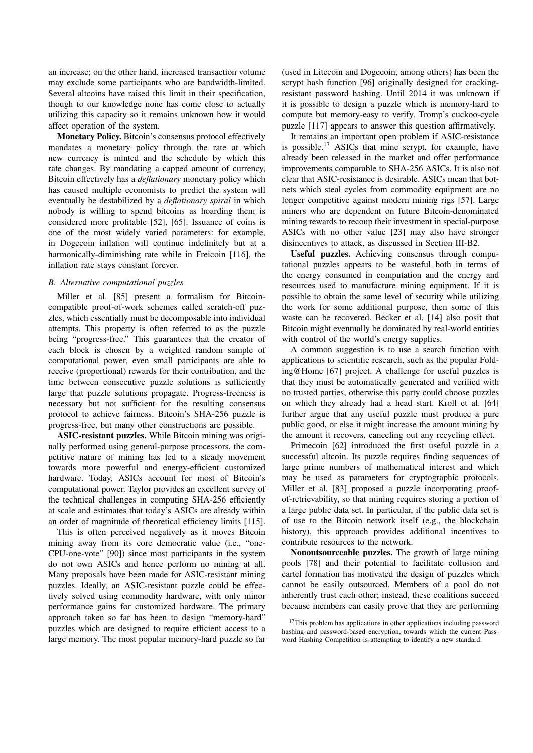an increase; on the other hand, increased transaction volume may exclude some participants who are bandwidth-limited. Several altcoins have raised this limit in their specification, though to our knowledge none has come close to actually utilizing this capacity so it remains unknown how it would affect operation of the system.

Monetary Policy. Bitcoin's consensus protocol effectively mandates a monetary policy through the rate at which new currency is minted and the schedule by which this rate changes. By mandating a capped amount of currency, Bitcoin effectively has a *deflationary* monetary policy which has caused multiple economists to predict the system will eventually be destabilized by a *deflationary spiral* in which nobody is willing to spend bitcoins as hoarding them is considered more profitable [\[52\]](#page-16-37), [\[65\]](#page-17-36). Issuance of coins is one of the most widely varied parameters: for example, in Dogecoin inflation will continue indefinitely but at a harmonically-diminishing rate while in Freicoin [\[116\]](#page-17-37), the inflation rate stays constant forever.

### *B. Alternative computational puzzles*

Miller et al. [\[85\]](#page-17-38) present a formalism for Bitcoincompatible proof-of-work schemes called scratch-off puzzles, which essentially must be decomposable into individual attempts. This property is often referred to as the puzzle being "progress-free." This guarantees that the creator of each block is chosen by a weighted random sample of computational power, even small participants are able to receive (proportional) rewards for their contribution, and the time between consecutive puzzle solutions is sufficiently large that puzzle solutions propagate. Progress-freeness is necessary but not sufficient for the resulting consensus protocol to achieve fairness. Bitcoin's SHA-256 puzzle is progress-free, but many other constructions are possible.

ASIC-resistant puzzles. While Bitcoin mining was originally performed using general-purpose processors, the competitive nature of mining has led to a steady movement towards more powerful and energy-efficient customized hardware. Today, ASICs account for most of Bitcoin's computational power. Taylor provides an excellent survey of the technical challenges in computing SHA-256 efficiently at scale and estimates that today's ASICs are already within an order of magnitude of theoretical efficiency limits [\[115\]](#page-17-39).

This is often perceived negatively as it moves Bitcoin mining away from its core democratic value (i.e., "one-CPU-one-vote" [\[90\]](#page-17-12)) since most participants in the system do not own ASICs and hence perform no mining at all. Many proposals have been made for ASIC-resistant mining puzzles. Ideally, an ASIC-resistant puzzle could be effectively solved using commodity hardware, with only minor performance gains for customized hardware. The primary approach taken so far has been to design "memory-hard" puzzles which are designed to require efficient access to a large memory. The most popular memory-hard puzzle so far

(used in Litecoin and Dogecoin, among others) has been the scrypt hash function [\[96\]](#page-17-40) originally designed for crackingresistant password hashing. Until 2014 it was unknown if it is possible to design a puzzle which is memory-hard to compute but memory-easy to verify. Tromp's cuckoo-cycle puzzle [\[117\]](#page-17-41) appears to answer this question affirmatively.

It remains an important open problem if ASIC-resistance is possible.<sup>[17](#page-11-0)</sup> ASICs that mine scrypt, for example, have already been released in the market and offer performance improvements comparable to SHA-256 ASICs. It is also not clear that ASIC-resistance is desirable. ASICs mean that botnets which steal cycles from commodity equipment are no longer competitive against modern mining rigs [\[57\]](#page-16-10). Large miners who are dependent on future Bitcoin-denominated mining rewards to recoup their investment in special-purpose ASICs with no other value [\[23\]](#page-16-38) may also have stronger disincentives to attack, as discussed in Section [III-B2.](#page-7-1)

Useful puzzles. Achieving consensus through computational puzzles appears to be wasteful both in terms of the energy consumed in computation and the energy and resources used to manufacture mining equipment. If it is possible to obtain the same level of security while utilizing the work for some additional purpose, then some of this waste can be recovered. Becker et al. [\[14\]](#page-16-39) also posit that Bitcoin might eventually be dominated by real-world entities with control of the world's energy supplies.

A common suggestion is to use a search function with applications to scientific research, such as the popular Folding@Home [\[67\]](#page-17-42) project. A challenge for useful puzzles is that they must be automatically generated and verified with no trusted parties, otherwise this party could choose puzzles on which they already had a head start. Kroll et al. [\[64\]](#page-17-24) further argue that any useful puzzle must produce a pure public good, or else it might increase the amount mining by the amount it recovers, canceling out any recycling effect.

Primecoin [\[62\]](#page-17-43) introduced the first useful puzzle in a successful altcoin. Its puzzle requires finding sequences of large prime numbers of mathematical interest and which may be used as parameters for cryptographic protocols. Miller et al. [\[83\]](#page-17-44) proposed a puzzle incorporating proofof-retrievability, so that mining requires storing a portion of a large public data set. In particular, if the public data set is of use to the Bitcoin network itself (e.g., the blockchain history), this approach provides additional incentives to contribute resources to the network.

Nonoutsourceable puzzles. The growth of large mining pools [\[78\]](#page-17-45) and their potential to facilitate collusion and cartel formation has motivated the design of puzzles which cannot be easily outsourced. Members of a pool do not inherently trust each other; instead, these coalitions succeed because members can easily prove that they are performing

<span id="page-11-0"></span> $17$ This problem has applications in other applications including password hashing and password-based encryption, towards which the current Password Hashing Competition is attempting to identify a new standard.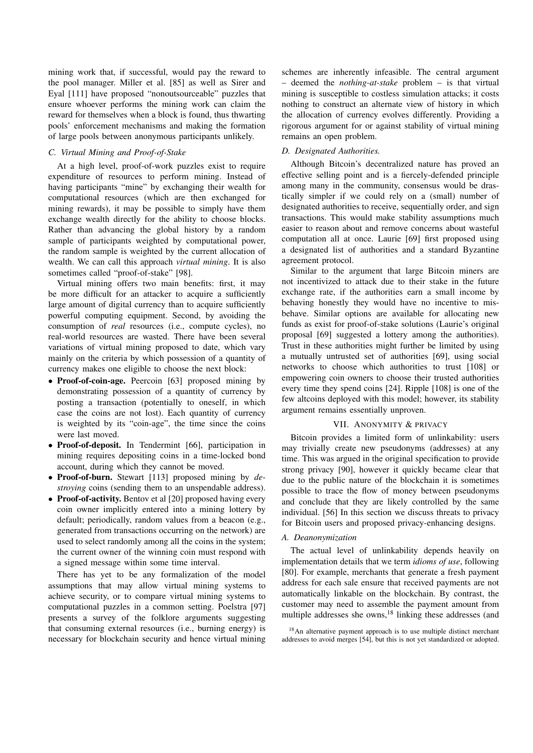mining work that, if successful, would pay the reward to the pool manager. Miller et al. [\[85\]](#page-17-38) as well as Sirer and Eyal [\[111\]](#page-17-46) have proposed "nonoutsourceable" puzzles that ensure whoever performs the mining work can claim the reward for themselves when a block is found, thus thwarting pools' enforcement mechanisms and making the formation of large pools between anonymous participants unlikely.

# *C. Virtual Mining and Proof-of-Stake*

At a high level, proof-of-work puzzles exist to require expenditure of resources to perform mining. Instead of having participants "mine" by exchanging their wealth for computational resources (which are then exchanged for mining rewards), it may be possible to simply have them exchange wealth directly for the ability to choose blocks. Rather than advancing the global history by a random sample of participants weighted by computational power, the random sample is weighted by the current allocation of wealth. We can call this approach *virtual mining*. It is also sometimes called "proof-of-stake" [\[98\]](#page-17-47).

Virtual mining offers two main benefits: first, it may be more difficult for an attacker to acquire a sufficiently large amount of digital currency than to acquire sufficiently powerful computing equipment. Second, by avoiding the consumption of *real* resources (i.e., compute cycles), no real-world resources are wasted. There have been several variations of virtual mining proposed to date, which vary mainly on the criteria by which possession of a quantity of currency makes one eligible to choose the next block:

- Proof-of-coin-age. Peercoin [\[63\]](#page-17-48) proposed mining by demonstrating possession of a quantity of currency by posting a transaction (potentially to oneself, in which case the coins are not lost). Each quantity of currency is weighted by its "coin-age", the time since the coins were last moved.
- Proof-of-deposit. In Tendermint [\[66\]](#page-17-49), participation in mining requires depositing coins in a time-locked bond account, during which they cannot be moved.
- Proof-of-burn. Stewart [\[113\]](#page-17-33) proposed mining by *destroying* coins (sending them to an unspendable address).
- Proof-of-activity. Bentov et al [\[20\]](#page-16-40) proposed having every coin owner implicitly entered into a mining lottery by default; periodically, random values from a beacon (e.g., generated from transactions occurring on the network) are used to select randomly among all the coins in the system; the current owner of the winning coin must respond with a signed message within some time interval.

There has yet to be any formalization of the model assumptions that may allow virtual mining systems to achieve security, or to compare virtual mining systems to computational puzzles in a common setting. Poelstra [\[97\]](#page-17-50) presents a survey of the folklore arguments suggesting that consuming external resources (i.e., burning energy) is necessary for blockchain security and hence virtual mining

schemes are inherently infeasible. The central argument – deemed the *nothing-at-stake* problem – is that virtual mining is susceptible to costless simulation attacks; it costs nothing to construct an alternate view of history in which the allocation of currency evolves differently. Providing a rigorous argument for or against stability of virtual mining remains an open problem.

### *D. Designated Authorities.*

Although Bitcoin's decentralized nature has proved an effective selling point and is a fiercely-defended principle among many in the community, consensus would be drastically simpler if we could rely on a (small) number of designated authorities to receive, sequentially order, and sign transactions. This would make stability assumptions much easier to reason about and remove concerns about wasteful computation all at once. Laurie [\[69\]](#page-17-51) first proposed using a designated list of authorities and a standard Byzantine agreement protocol.

Similar to the argument that large Bitcoin miners are not incentivized to attack due to their stake in the future exchange rate, if the authorities earn a small income by behaving honestly they would have no incentive to misbehave. Similar options are available for allocating new funds as exist for proof-of-stake solutions (Laurie's original proposal [\[69\]](#page-17-51) suggested a lottery among the authorities). Trust in these authorities might further be limited by using a mutually untrusted set of authorities [\[69\]](#page-17-51), using social networks to choose which authorities to trust [\[108\]](#page-17-52) or empowering coin owners to choose their trusted authorities every time they spend coins [\[24\]](#page-16-41). Ripple [\[108\]](#page-17-52) is one of the few altcoins deployed with this model; however, its stability argument remains essentially unproven.

# VII. ANONYMITY & PRIVACY

<span id="page-12-0"></span>Bitcoin provides a limited form of unlinkability: users may trivially create new pseudonyms (addresses) at any time. This was argued in the original specification to provide strong privacy [\[90\]](#page-17-12), however it quickly became clear that due to the public nature of the blockchain it is sometimes possible to trace the flow of money between pseudonyms and conclude that they are likely controlled by the same individual. [\[56\]](#page-16-42) In this section we discuss threats to privacy for Bitcoin users and proposed privacy-enhancing designs.

### <span id="page-12-2"></span>*A. Deanonymization*

The actual level of unlinkability depends heavily on implementation details that we term *idioms of use*, following [\[80\]](#page-17-53). For example, merchants that generate a fresh payment address for each sale ensure that received payments are not automatically linkable on the blockchain. By contrast, the customer may need to assemble the payment amount from multiple addresses she owns, $^{18}$  $^{18}$  $^{18}$  linking these addresses (and

<span id="page-12-1"></span><sup>18</sup>An alternative payment approach is to use multiple distinct merchant addresses to avoid merges [\[54\]](#page-16-43), but this is not yet standardized or adopted.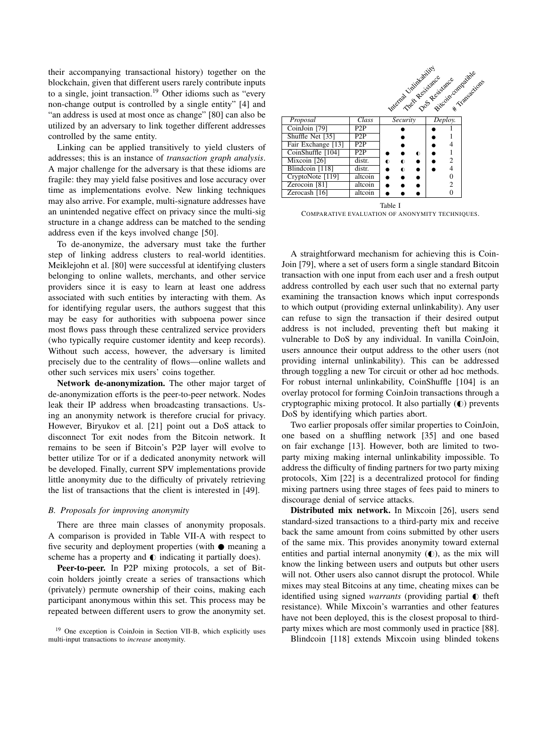their accompanying transactional history) together on the blockchain, given that different users rarely contribute inputs to a single, joint transaction.<sup>[19](#page-13-0)</sup> Other idioms such as "every" non-change output is controlled by a single entity" [\[4\]](#page-16-44) and "an address is used at most once as change" [\[80\]](#page-17-53) can also be utilized by an adversary to link together different addresses controlled by the same entity.

Linking can be applied transitively to yield clusters of addresses; this is an instance of *transaction graph analysis*. A major challenge for the adversary is that these idioms are fragile: they may yield false positives and lose accuracy over time as implementations evolve. New linking techniques may also arrive. For example, multi-signature addresses have an unintended negative effect on privacy since the multi-sig structure in a change address can be matched to the sending address even if the keys involved change [\[50\]](#page-16-33).

To de-anonymize, the adversary must take the further step of linking address clusters to real-world identities. Meiklejohn et al. [\[80\]](#page-17-53) were successful at identifying clusters belonging to online wallets, merchants, and other service providers since it is easy to learn at least one address associated with such entities by interacting with them. As for identifying regular users, the authors suggest that this may be easy for authorities with subpoena power since most flows pass through these centralized service providers (who typically require customer identity and keep records). Without such access, however, the adversary is limited precisely due to the centrality of flows—online wallets and other such services mix users' coins together.

Network de-anonymization. The other major target of de-anonymization efforts is the peer-to-peer network. Nodes leak their IP address when broadcasting transactions. Using an anonymity network is therefore crucial for privacy. However, Biryukov et al. [\[21\]](#page-16-45) point out a DoS attack to disconnect Tor exit nodes from the Bitcoin network. It remains to be seen if Bitcoin's P2P layer will evolve to better utilize Tor or if a dedicated anonymity network will be developed. Finally, current SPV implementations provide little anonymity due to the difficulty of privately retrieving the list of transactions that the client is interested in [\[49\]](#page-16-31).

### <span id="page-13-1"></span>*B. Proposals for improving anonymity*

There are three main classes of anonymity proposals. A comparison is provided in Table [VII-A](#page-12-2) with respect to five security and deployment properties (with  $\bullet$  meaning a scheme has a property and  $\mathbb O$  indicating it partially does).

Peer-to-peer. In P2P mixing protocols, a set of Bitcoin holders jointly create a series of transactions which (privately) permute ownership of their coins, making each participant anonymous within this set. This process may be repeated between different users to grow the anonymity set.

|                    |                  |                        | Internal United Resistances of Property of |
|--------------------|------------------|------------------------|--------------------------------------------|
| Proposal           | Class            | <i>Security</i>        | Deploy.                                    |
| CoinJoin [79]      | P <sub>2</sub> P |                        |                                            |
| Shuffle Net [35]   | P <sub>2</sub> P |                        |                                            |
| Fair Exchange [13] | P <sub>2</sub> P |                        | 4                                          |
| CoinShuffle [104]  | P2P              | $\bullet$              |                                            |
| Mixcoin [26]       | distr.           | $\bullet$<br>$\bullet$ | $\overline{c}$                             |
| Blindcoin [118]    | distr.           | $\bullet$              | $\overline{4}$                             |
| CryptoNote [119]   | altcoin          |                        | $\theta$                                   |
| Zerocoin [81]      | altcoin          |                        | 2                                          |
| Zerocash [16]      | altcoin          |                        | $\theta$                                   |
| Table I            |                  |                        |                                            |

COMPARATIVE EVALUATION OF ANONYMITY TECHNIQUES.

A straightforward mechanism for achieving this is Coin-Join [\[79\]](#page-17-54), where a set of users form a single standard Bitcoin transaction with one input from each user and a fresh output address controlled by each user such that no external party examining the transaction knows which input corresponds to which output (providing external unlinkability). Any user can refuse to sign the transaction if their desired output address is not included, preventing theft but making it vulnerable to DoS by any individual. In vanilla CoinJoin, users announce their output address to the other users (not providing internal unlinkability). This can be addressed through toggling a new Tor circuit or other ad hoc methods. For robust internal unlinkability, CoinShuffle [\[104\]](#page-17-55) is an overlay protocol for forming CoinJoin transactions through a cryptographic mixing protocol. It also partially  $(Q)$  prevents DoS by identifying which parties abort.

Two earlier proposals offer similar properties to CoinJoin, one based on a shuffling network [\[35\]](#page-16-46) and one based on fair exchange [\[13\]](#page-16-16). However, both are limited to twoparty mixing making internal unlinkability impossible. To address the difficulty of finding partners for two party mixing protocols, Xim [\[22\]](#page-16-49) is a decentralized protocol for finding mixing partners using three stages of fees paid to miners to discourage denial of service attacks.

Distributed mix network. In Mixcoin [\[26\]](#page-16-47), users send standard-sized transactions to a third-party mix and receive back the same amount from coins submitted by other users of the same mix. This provides anonymity toward external entities and partial internal anonymity  $(Q)$ , as the mix will know the linking between users and outputs but other users will not. Other users also cannot disrupt the protocol. While mixes may steal Bitcoins at any time, cheating mixes can be identified using signed *warrants* (providing partial  $\bullet$  theft resistance). While Mixcoin's warranties and other features have not been deployed, this is the closest proposal to thirdparty mixes which are most commonly used in practice [\[88\]](#page-17-59).

Blindcoin [\[118\]](#page-17-56) extends Mixcoin using blinded tokens

<span id="page-13-0"></span><sup>19</sup> One exception is CoinJoin in Section [VII-B,](#page-13-1) which explicitly uses multi-input transactions to *increase* anonymity.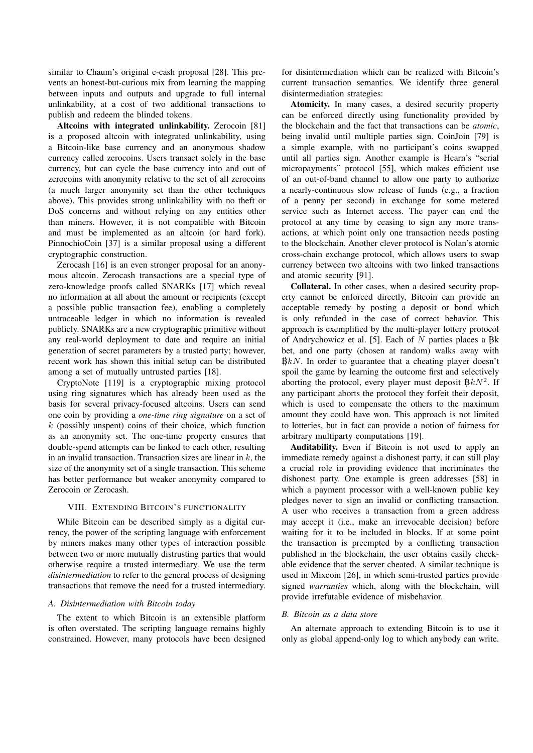similar to Chaum's original e-cash proposal [\[28\]](#page-16-2). This prevents an honest-but-curious mix from learning the mapping between inputs and outputs and upgrade to full internal unlinkability, at a cost of two additional transactions to publish and redeem the blinded tokens.

Altcoins with integrated unlinkability. Zerocoin [\[81\]](#page-17-58) is a proposed altcoin with integrated unlinkability, using a Bitcoin-like base currency and an anonymous shadow currency called zerocoins. Users transact solely in the base currency, but can cycle the base currency into and out of zerocoins with anonymity relative to the set of all zerocoins (a much larger anonymity set than the other techniques above). This provides strong unlinkability with no theft or DoS concerns and without relying on any entities other than miners. However, it is not compatible with Bitcoin and must be implemented as an altcoin (or hard fork). PinnochioCoin [\[37\]](#page-16-50) is a similar proposal using a different cryptographic construction.

Zerocash [\[16\]](#page-16-48) is an even stronger proposal for an anonymous altcoin. Zerocash transactions are a special type of zero-knowledge proofs called SNARKs [\[17\]](#page-16-51) which reveal no information at all about the amount or recipients (except a possible public transaction fee), enabling a completely untraceable ledger in which no information is revealed publicly. SNARKs are a new cryptographic primitive without any real-world deployment to date and require an initial generation of secret parameters by a trusted party; however, recent work has shown this initial setup can be distributed among a set of mutually untrusted parties [\[18\]](#page-16-52).

CryptoNote [\[119\]](#page-17-57) is a cryptographic mixing protocol using ring signatures which has already been used as the basis for several privacy-focused altcoins. Users can send one coin by providing a *one-time ring signature* on a set of  $k$  (possibly unspent) coins of their choice, which function as an anonymity set. The one-time property ensures that double-spend attempts can be linked to each other, resulting in an invalid transaction. Transaction sizes are linear in  $k$ , the size of the anonymity set of a single transaction. This scheme has better performance but weaker anonymity compared to Zerocoin or Zerocash.

### VIII. EXTENDING BITCOIN'S FUNCTIONALITY

<span id="page-14-0"></span>While Bitcoin can be described simply as a digital currency, the power of the scripting language with enforcement by miners makes many other types of interaction possible between two or more mutually distrusting parties that would otherwise require a trusted intermediary. We use the term *disintermediation* to refer to the general process of designing transactions that remove the need for a trusted intermediary.

### *A. Disintermediation with Bitcoin today*

The extent to which Bitcoin is an extensible platform is often overstated. The scripting language remains highly constrained. However, many protocols have been designed

for disintermediation which can be realized with Bitcoin's current transaction semantics. We identify three general disintermediation strategies:

Atomicity. In many cases, a desired security property can be enforced directly using functionality provided by the blockchain and the fact that transactions can be *atomic*, being invalid until multiple parties sign. CoinJoin [\[79\]](#page-17-54) is a simple example, with no participant's coins swapped until all parties sign. Another example is Hearn's "serial micropayments" protocol [\[55\]](#page-16-53), which makes efficient use of an out-of-band channel to allow one party to authorize a nearly-continuous slow release of funds (e.g., a fraction of a penny per second) in exchange for some metered service such as Internet access. The payer can end the protocol at any time by ceasing to sign any more transactions, at which point only one transaction needs posting to the blockchain. Another clever protocol is Nolan's atomic cross-chain exchange protocol, which allows users to swap currency between two altcoins with two linked transactions and atomic security [\[91\]](#page-17-60).

Collateral. In other cases, when a desired security property cannot be enforced directly, Bitcoin can provide an acceptable remedy by posting a deposit or bond which is only refunded in the case of correct behavior. This approach is exemplified by the multi-player lottery protocol of Andrychowicz et al. [\[5\]](#page-16-22). Each of N parties places a  $\beta k$ bet, and one party (chosen at random) walks away with  $BkN$ . In order to guarantee that a cheating player doesn't spoil the game by learning the outcome first and selectively aborting the protocol, every player must deposit  $BkN^2$ . If any participant aborts the protocol they forfeit their deposit, which is used to compensate the others to the maximum amount they could have won. This approach is not limited to lotteries, but in fact can provide a notion of fairness for arbitrary multiparty computations [\[19\]](#page-16-54).

Auditability. Even if Bitcoin is not used to apply an immediate remedy against a dishonest party, it can still play a crucial role in providing evidence that incriminates the dishonest party. One example is green addresses [\[58\]](#page-16-55) in which a payment processor with a well-known public key pledges never to sign an invalid or conflicting transaction. A user who receives a transaction from a green address may accept it (i.e., make an irrevocable decision) before waiting for it to be included in blocks. If at some point the transaction is preempted by a conflicting transaction published in the blockchain, the user obtains easily checkable evidence that the server cheated. A similar technique is used in Mixcoin [\[26\]](#page-16-47), in which semi-trusted parties provide signed *warranties* which, along with the blockchain, will provide irrefutable evidence of misbehavior.

# *B. Bitcoin as a data store*

An alternate approach to extending Bitcoin is to use it only as global append-only log to which anybody can write.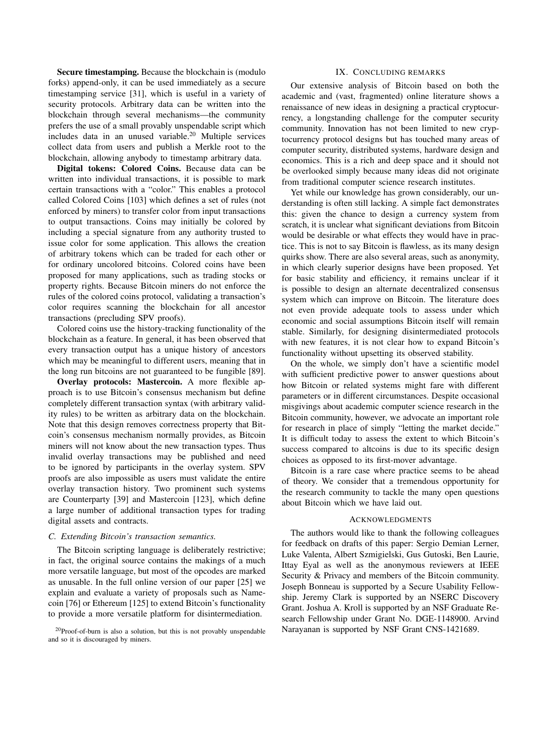Secure timestamping. Because the blockchain is (modulo forks) append-only, it can be used immediately as a secure timestamping service [\[31\]](#page-16-56), which is useful in a variety of security protocols. Arbitrary data can be written into the blockchain through several mechanisms—the community prefers the use of a small provably unspendable script which includes data in an unused variable.[20](#page-15-0) Multiple services collect data from users and publish a Merkle root to the blockchain, allowing anybody to timestamp arbitrary data.

Digital tokens: Colored Coins. Because data can be written into individual transactions, it is possible to mark certain transactions with a "color." This enables a protocol called Colored Coins [\[103\]](#page-17-61) which defines a set of rules (not enforced by miners) to transfer color from input transactions to output transactions. Coins may initially be colored by including a special signature from any authority trusted to issue color for some application. This allows the creation of arbitrary tokens which can be traded for each other or for ordinary uncolored bitcoins. Colored coins have been proposed for many applications, such as trading stocks or property rights. Because Bitcoin miners do not enforce the rules of the colored coins protocol, validating a transaction's color requires scanning the blockchain for all ancestor transactions (precluding SPV proofs).

Colored coins use the history-tracking functionality of the blockchain as a feature. In general, it has been observed that every transaction output has a unique history of ancestors which may be meaningful to different users, meaning that in the long run bitcoins are not guaranteed to be fungible [\[89\]](#page-17-62).

Overlay protocols: Mastercoin. A more flexible approach is to use Bitcoin's consensus mechanism but define completely different transaction syntax (with arbitrary validity rules) to be written as arbitrary data on the blockchain. Note that this design removes correctness property that Bitcoin's consensus mechanism normally provides, as Bitcoin miners will not know about the new transaction types. Thus invalid overlay transactions may be published and need to be ignored by participants in the overlay system. SPV proofs are also impossible as users must validate the entire overlay transaction history. Two prominent such systems are Counterparty [\[39\]](#page-16-57) and Mastercoin [\[123\]](#page-17-63), which define a large number of additional transaction types for trading digital assets and contracts.

### *C. Extending Bitcoin's transaction semantics.*

The Bitcoin scripting language is deliberately restrictive; in fact, the original source contains the makings of a much more versatile language, but most of the opcodes are marked as unusable. In the full online version of our paper [\[25\]](#page-16-58) we explain and evaluate a variety of proposals such as Namecoin [\[76\]](#page-17-64) or Ethereum [\[125\]](#page-17-65) to extend Bitcoin's functionality to provide a more versatile platform for disintermediation.

# IX. CONCLUDING REMARKS

Our extensive analysis of Bitcoin based on both the academic and (vast, fragmented) online literature shows a renaissance of new ideas in designing a practical cryptocurrency, a longstanding challenge for the computer security community. Innovation has not been limited to new cryptocurrency protocol designs but has touched many areas of computer security, distributed systems, hardware design and economics. This is a rich and deep space and it should not be overlooked simply because many ideas did not originate from traditional computer science research institutes.

Yet while our knowledge has grown considerably, our understanding is often still lacking. A simple fact demonstrates this: given the chance to design a currency system from scratch, it is unclear what significant deviations from Bitcoin would be desirable or what effects they would have in practice. This is not to say Bitcoin is flawless, as its many design quirks show. There are also several areas, such as anonymity, in which clearly superior designs have been proposed. Yet for basic stability and efficiency, it remains unclear if it is possible to design an alternate decentralized consensus system which can improve on Bitcoin. The literature does not even provide adequate tools to assess under which economic and social assumptions Bitcoin itself will remain stable. Similarly, for designing disintermediated protocols with new features, it is not clear how to expand Bitcoin's functionality without upsetting its observed stability.

On the whole, we simply don't have a scientific model with sufficient predictive power to answer questions about how Bitcoin or related systems might fare with different parameters or in different circumstances. Despite occasional misgivings about academic computer science research in the Bitcoin community, however, we advocate an important role for research in place of simply "letting the market decide." It is difficult today to assess the extent to which Bitcoin's success compared to altcoins is due to its specific design choices as opposed to its first-mover advantage.

Bitcoin is a rare case where practice seems to be ahead of theory. We consider that a tremendous opportunity for the research community to tackle the many open questions about Bitcoin which we have laid out.

#### ACKNOWLEDGMENTS

The authors would like to thank the following colleagues for feedback on drafts of this paper: Sergio Demian Lerner, Luke Valenta, Albert Szmigielski, Gus Gutoski, Ben Laurie, Ittay Eyal as well as the anonymous reviewers at IEEE Security & Privacy and members of the Bitcoin community. Joseph Bonneau is supported by a Secure Usability Fellowship. Jeremy Clark is supported by an NSERC Discovery Grant. Joshua A. Kroll is supported by an NSF Graduate Research Fellowship under Grant No. DGE-1148900. Arvind Narayanan is supported by NSF Grant CNS-1421689.

<span id="page-15-0"></span><sup>20</sup>Proof-of-burn is also a solution, but this is not provably unspendable and so it is discouraged by miners.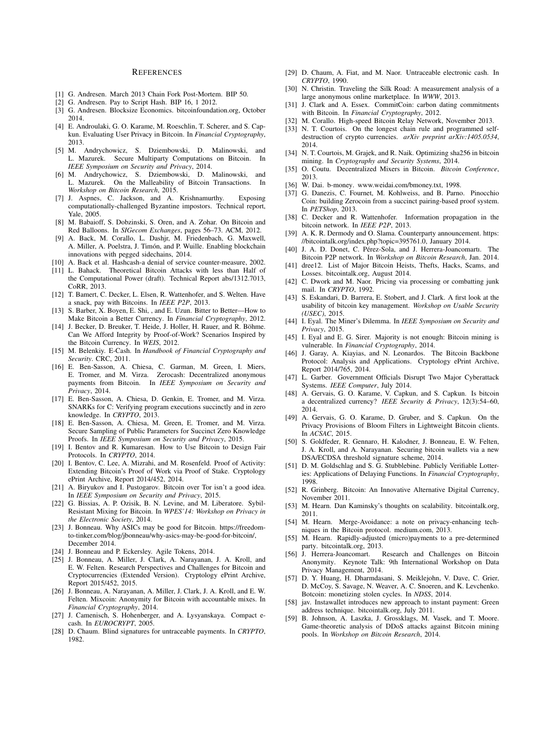### **REFERENCES**

- <span id="page-16-21"></span>[1] G. Andresen. March 2013 Chain Fork Post-Mortem. BIP 50.
- <span id="page-16-20"></span>[2] G. Andresen. Pay to Script Hash. BIP 16, 1 2012.
- <span id="page-16-35"></span>[3] G. Andresen. Blocksize Economics. [bitcoinfoundation.org,](bitcoinfoundation.org) October 2014.
- <span id="page-16-44"></span>[4] E. Androulaki, G. O. Karame, M. Roeschlin, T. Scherer, and S. Capkun. Evaluating User Privacy in Bitcoin. In *Financial Cryptography*, 2013.
- <span id="page-16-22"></span>[5] M. Andrychowicz, S. Dziembowski, D. Malinowski, and L. Mazurek. Secure Multiparty Computations on Bitcoin. In *IEEE Symposium on Security and Privacy*, 2014.
- <span id="page-16-13"></span>[6] M. Andrychowicz, S. Dziembowski, D. Malinowski, and L. Mazurek. On the Malleability of Bitcoin Transactions. In *Workshop on Bitcoin Research*, 2015.
- <span id="page-16-0"></span>[7] J. Aspnes, C. Jackson, and A. Krishnamurthy. Exposing computationally-challenged Byzantine impostors. Technical report, Yale, 2005.
- <span id="page-16-28"></span>[8] M. Babaioff, S. Dobzinski, S. Oren, and A. Zohar. On Bitcoin and Red Balloons. In *SIGecom Exchanges*, pages 56–73. ACM, 2012.
- <span id="page-16-34"></span>[9] A. Back, M. Corallo, L. Dashjr, M. Friedenbach, G. Maxwell, A. Miller, A. Poelstra, J. Timón, and P. Wuille. Enabling blockchain innovations with pegged sidechains, 2014.
- <span id="page-16-7"></span>[10] A. Back et al. Hashcash-a denial of service counter-measure, 2002.
- <span id="page-16-24"></span>[11] L. Bahack. Theoretical Bitcoin Attacks with less than Half of the Computational Power (draft). Technical Report abs/1312.7013, CoRR, 2013.
- <span id="page-16-15"></span>[12] T. Bamert, C. Decker, L. Elsen, R. Wattenhofer, and S. Welten. Have a snack, pay with Bitcoins. In *IEEE P2P*, 2013.
- <span id="page-16-16"></span>[13] S. Barber, X. Boyen, E. Shi, , and E. Uzun. Bitter to Better-How to Make Bitcoin a Better Currency. In *Financial Cryptography*, 2012.
- <span id="page-16-39"></span>[14] J. Becker, D. Breuker, T. Heide, J. Holler, H. Rauer, and R. Böhme. Can We Afford Integrity by Proof-of-Work? Scenarios Inspired by the Bitcoin Currency. In *WEIS*, 2012.
- <span id="page-16-1"></span>[15] M. Belenkiy. E-Cash. In *Handbook of Financial Cryptography and Security*. CRC, 2011.
- <span id="page-16-48"></span>[16] E. Ben-Sasson, A. Chiesa, C. Garman, M. Green, I. Miers, E. Tromer, and M. Virza. Zerocash: Decentralized anonymous payments from Bitcoin. In *IEEE Symposium on Security and Privacy*, 2014.
- <span id="page-16-51"></span>[17] E. Ben-Sasson, A. Chiesa, D. Genkin, E. Tromer, and M. Virza. SNARKs for C: Verifying program executions succinctly and in zero knowledge. In *CRYPTO*, 2013.
- <span id="page-16-52"></span>[18] E. Ben-Sasson, A. Chiesa, M. Green, E. Tromer, and M. Virza. Secure Sampling of Public Parameters for Succinct Zero Knowledge Proofs. In *IEEE Symposium on Security and Privacy*, 2015.
- <span id="page-16-54"></span>[19] I. Bentov and R. Kumaresan. How to Use Bitcoin to Design Fair Protocols. In *CRYPTO*, 2014.
- <span id="page-16-40"></span>[20] I. Bentov, C. Lee, A. Mizrahi, and M. Rosenfeld. Proof of Activity: Extending Bitcoin's Proof of Work via Proof of Stake. Cryptology ePrint Archive, Report 2014/452, 2014.
- <span id="page-16-45"></span>[21] A. Biryukov and I. Pustogarov. Bitcoin over Tor isn't a good idea. In *IEEE Symposium on Security and Privacy*, 2015.
- <span id="page-16-49"></span>[22] G. Bissias, A. P. Ozisik, B. N. Levine, and M. Liberatore. Sybil-Resistant Mixing for Bitcoin. In *WPES'14: Workshop on Privacy in the Electronic Society*, 2014.
- <span id="page-16-38"></span>[23] J. Bonneau. Why ASICs may be good for Bitcoin. https://freedomto-tinker.com/blog/jbonneau/why-asics-may-be-good-for-bitcoin/, December 2014.
- <span id="page-16-41"></span>[24] J. Bonneau and P. Eckersley. Agile Tokens, 2014.
- <span id="page-16-58"></span>[25] J. Bonneau, A. Miller, J. Clark, A. Narayanan, J. A. Kroll, and E. W. Felten. Research Perspectives and Challenges for Bitcoin and Cryptocurrencies (Extended Version). Cryptology ePrint Archive, Report 2015/452, 2015.
- <span id="page-16-47"></span>[26] J. Bonneau, A. Narayanan, A. Miller, J. Clark, J. A. Kroll, and E. W. Felten. Mixcoin: Anonymity for Bitcoin with accountable mixes. In *Financial Cryptography*, 2014.
- <span id="page-16-4"></span>[27] J. Camenisch, S. Hohenberger, and A. Lysyanskaya. Compact ecash. In *EUROCRYPT*, 2005.
- <span id="page-16-2"></span>[28] D. Chaum. Blind signatures for untraceable payments. In *CRYPTO*, 1982.
- <span id="page-16-3"></span>[29] D. Chaum, A. Fiat, and M. Naor. Untraceable electronic cash. In *CRYPTO*, 1990.
- <span id="page-16-9"></span>[30] N. Christin. Traveling the Silk Road: A measurement analysis of a large anonymous online marketplace. In *WWW*, 2013.
- <span id="page-16-56"></span>[31] J. Clark and A. Essex. CommitCoin: carbon dating commitments with Bitcoin. In *Financial Cryptography*, 2012.
- <span id="page-16-18"></span>[32] M. Corallo. High-speed Bitcoin Relay Network, November 2013.
- <span id="page-16-26"></span>[33] N. T. Courtois. On the longest chain rule and programmed selfdestruction of crypto currencies. *arXiv preprint arXiv:1405.0534*, 2014.
- <span id="page-16-17"></span>[34] N. T. Courtois, M. Grajek, and R. Naik. Optimizing sha256 in bitcoin mining. In *Cryptography and Security Systems*, 2014.
- <span id="page-16-46"></span>[35] O. Coutu. Decentralized Mixers in Bitcoin. *Bitcoin Conference*, 2013.
- <span id="page-16-8"></span>[36] W. Dai. b-money. [www.weidai.com/bmoney.txt,](www.weidai.com/bmoney.txt) 1998.
- <span id="page-16-50"></span>[37] G. Danezis, C. Fournet, M. Kohlweiss, and B. Parno. Pinocchio Coin: building Zerocoin from a succinct pairing-based proof system. In *PETShop*, 2013.
- <span id="page-16-19"></span>[38] C. Decker and R. Wattenhofer. Information propagation in the bitcoin network. In *IEEE P2P*, 2013.
- <span id="page-16-57"></span>[39] A. K. R. Dermody and O. Slama. Counterparty announcement. [https:](https://bitcointalk.org/index.php?topic=395761.0) [//bitcointalk.org/index.php?topic=395761.0,](https://bitcointalk.org/index.php?topic=395761.0) January 2014.
- <span id="page-16-30"></span>[40] J. A. D. Donet, C. Pérez-Sola, and J. Herrera-Joancomarti. The Bitcoin P2P network. In *Workshop on Bitcoin Research*, Jan. 2014.
- <span id="page-16-12"></span>[41] dree12. List of Major Bitcoin Heists, Thefts, Hacks, Scams, and Losses. [bitcointalk.org,](bitcointalk.org) August 2014.
- <span id="page-16-5"></span>[42] C. Dwork and M. Naor. Pricing via processing or combatting junk mail. In *CRYPTO*, 1992.
- <span id="page-16-32"></span>[43] S. Eskandari, D. Barrera, E. Stobert, and J. Clark. A first look at the usability of bitcoin key management. *Workshop on Usable Security (USEC)*, 2015.
- <span id="page-16-27"></span>[44] I. Eyal. The Miner's Dilemma. In *IEEE Symposium on Security and Privacy*, 2015.
- <span id="page-16-25"></span>[45] I. Eyal and E. G. Sirer. Majority is not enough: Bitcoin mining is vulnerable. In *Financial Cryptography*, 2014.
- <span id="page-16-14"></span>[46] J. Garay, A. Kiayias, and N. Leonardos. The Bitcoin Backbone Protocol: Analysis and Applications. Cryptology ePrint Archive, Report 2014/765, 2014.
- <span id="page-16-11"></span>[47] L. Garber. Government Officials Disrupt Two Major Cyberattack Systems. *IEEE Computer*, July 2014.
- <span id="page-16-23"></span>[48] A. Gervais, G. O. Karame, V. Capkun, and S. Capkun. Is bitcoin a decentralized currency? *IEEE Security & Privacy*, 12(3):54–60, 2014.
- <span id="page-16-31"></span>[49] A. Gervais, G. O. Karame, D. Gruber, and S. Capkun. On the Privacy Provisions of Bloom Filters in Lightweight Bitcoin clients. In *ACSAC*, 2015.
- <span id="page-16-33"></span>[50] S. Goldfeder, R. Gennaro, H. Kalodner, J. Bonneau, E. W. Felten, J. A. Kroll, and A. Narayanan. Securing bitcoin wallets via a new DSA/ECDSA threshold signature scheme, 2014.
- <span id="page-16-6"></span>[51] D. M. Goldschlag and S. G. Stubblebine. Publicly Verifiable Lotteries: Applications of Delaying Functions. In *Financial Cryptography*, 1998.
- <span id="page-16-37"></span>[52] R. Grinberg. Bitcoin: An Innovative Alternative Digital Currency, November 2011.
- <span id="page-16-36"></span>[53] M. Hearn. Dan Kaminsky's thoughts on scalability. [bitcointalk.org,](bitcointalk.org) 2011.
- <span id="page-16-43"></span>[54] M. Hearn. Merge-Avoidance: a note on privacy-enhancing techniques in the Bitcoin protocol. [medium.com,](medium.com) 2013.
- <span id="page-16-53"></span>[55] M. Hearn. Rapidly-adjusted (micro)payments to a pre-determined party. [bitcointalk.org,](bitcointalk.org) 2013.<br>[56] J. Herrera-Joancomart. 1
- <span id="page-16-42"></span>Research and Challenges on Bitcoin Anonymity. Keynote Talk: 9th International Workshop on Data Privacy Management, 2014.
- <span id="page-16-10"></span>[57] D. Y. Huang, H. Dharmdasani, S. Meiklejohn, V. Dave, C. Grier, D. McCoy, S. Savage, N. Weaver, A. C. Snoeren, and K. Levchenko. Botcoin: monetizing stolen cycles. In *NDSS*, 2014.
- <span id="page-16-55"></span>[58] jav. Instawallet introduces new approach to instant payment: Green address technique. [bitcointalk.org,](bitcointalk.org) July 2011.
- <span id="page-16-29"></span>[59] B. Johnson, A. Laszka, J. Grossklags, M. Vasek, and T. Moore. Game-theoretic analysis of DDoS attacks against Bitcoin mining pools. In *Workshop on Bitcoin Research*, 2014.